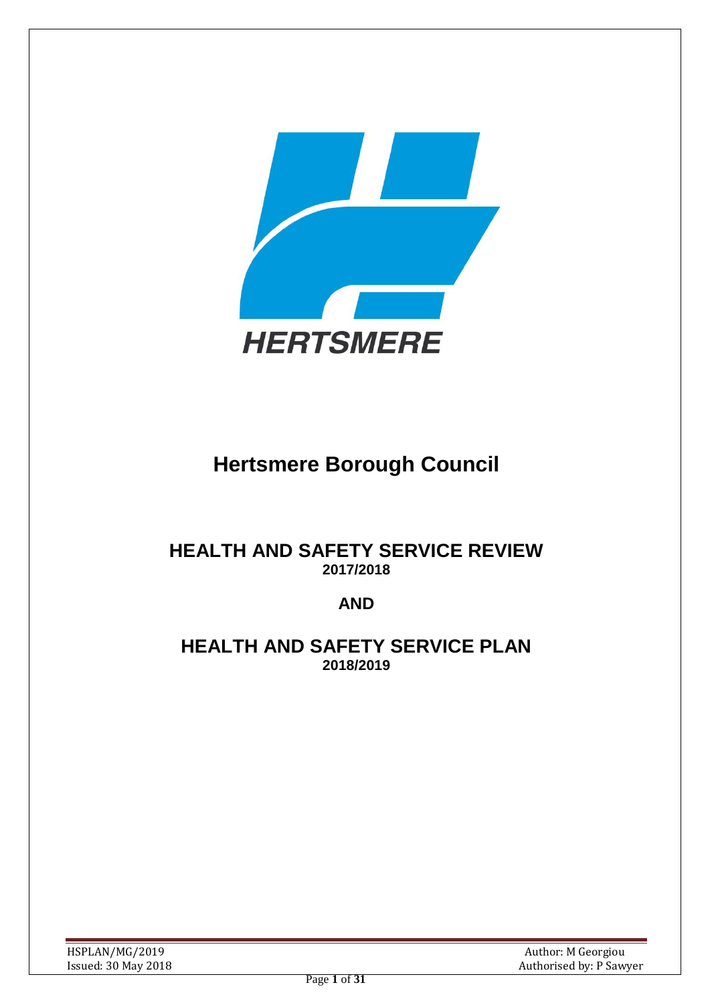

# **Hertsmere Borough Council**

# **HEALTH AND SAFETY SERVICE REVIEW 2017/2018**

# **AND**

# **HEALTH AND SAFETY SERVICE PLAN 2018/2019**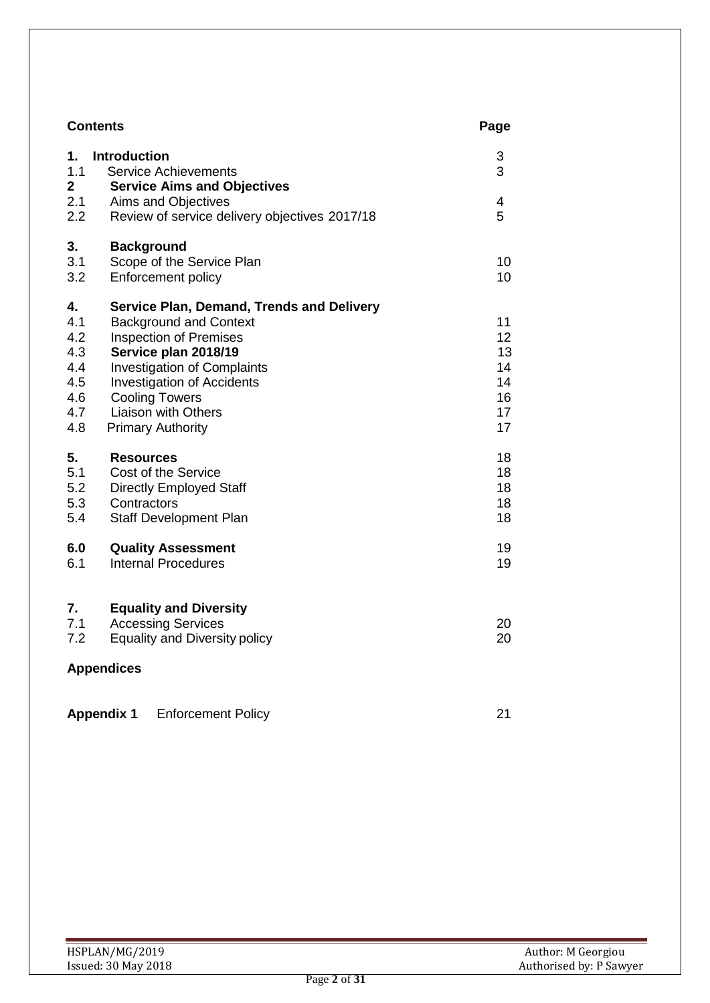|                          | <b>Contents</b>                                                                          | Page     |
|--------------------------|------------------------------------------------------------------------------------------|----------|
| 1.<br>1.1<br>$\mathbf 2$ | <b>Introduction</b><br><b>Service Achievements</b><br><b>Service Aims and Objectives</b> | 3<br>3   |
| 2.1<br>2.2               | Aims and Objectives<br>Review of service delivery objectives 2017/18                     | 4<br>5   |
| 3.                       | <b>Background</b>                                                                        |          |
| 3.1<br>3.2               | Scope of the Service Plan<br><b>Enforcement policy</b>                                   | 10<br>10 |
|                          |                                                                                          |          |
| 4.                       | <b>Service Plan, Demand, Trends and Delivery</b>                                         |          |
| 4.1<br>4.2               | <b>Background and Context</b><br><b>Inspection of Premises</b>                           | 11<br>12 |
| 4.3                      | Service plan 2018/19                                                                     | 13       |
| 4.4                      | <b>Investigation of Complaints</b>                                                       | 14       |
| 4.5                      | <b>Investigation of Accidents</b>                                                        | 14       |
| 4.6                      | <b>Cooling Towers</b>                                                                    | 16       |
| 4.7                      | <b>Liaison with Others</b>                                                               | 17       |
| 4.8                      | <b>Primary Authority</b>                                                                 | 17       |
| 5.                       | <b>Resources</b>                                                                         | 18       |
| 5.1                      | Cost of the Service                                                                      | 18       |
| 5.2                      | <b>Directly Employed Staff</b>                                                           | 18       |
| 5.3                      | Contractors                                                                              | 18<br>18 |
| 5.4                      | Staff Development Plan                                                                   |          |
| 6.0                      | <b>Quality Assessment</b>                                                                | 19       |
| 6.1                      | <b>Internal Procedures</b>                                                               | 19       |
| 7.                       | <b>Equality and Diversity</b>                                                            |          |
| 7.1                      | <b>Accessing Services</b>                                                                | 20       |
| 7.2                      | <b>Equality and Diversity policy</b>                                                     | 20       |
|                          | <b>Appendices</b>                                                                        |          |
|                          | <b>Appendix 1</b><br><b>Enforcement Policy</b>                                           | 21       |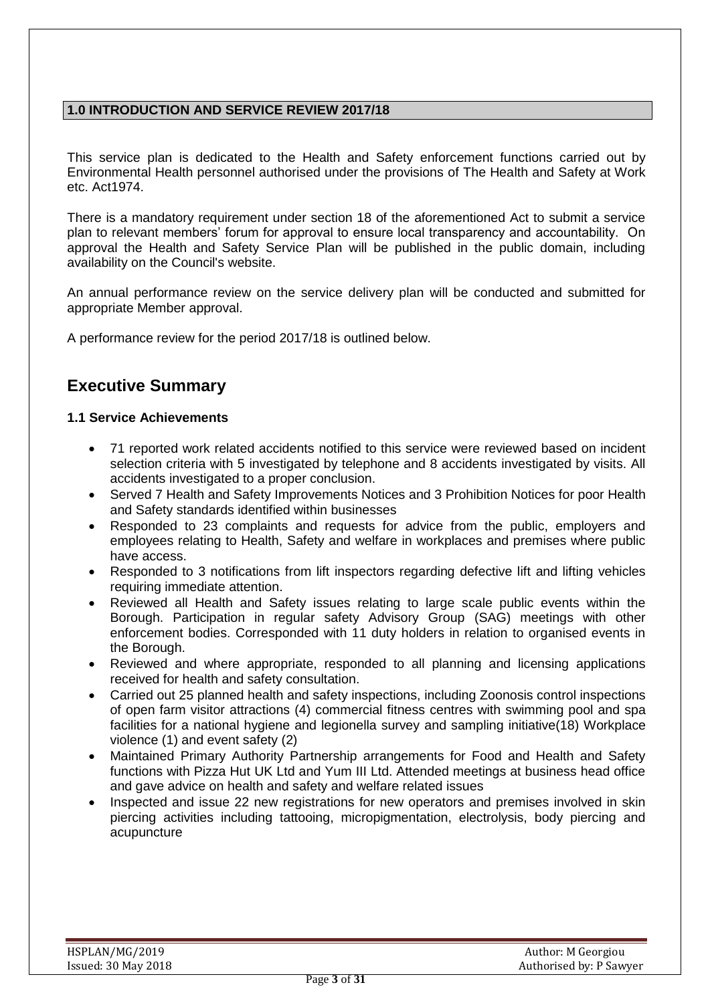# **1.0 INTRODUCTION AND SERVICE REVIEW 2017/18**

This service plan is dedicated to the Health and Safety enforcement functions carried out by Environmental Health personnel authorised under the provisions of The Health and Safety at Work etc. Act1974.

There is a mandatory requirement under section 18 of the aforementioned Act to submit a service plan to relevant members' forum for approval to ensure local transparency and accountability. On approval the Health and Safety Service Plan will be published in the public domain, including availability on the Council's website.

An annual performance review on the service delivery plan will be conducted and submitted for appropriate Member approval.

A performance review for the period 2017/18 is outlined below.

# **Executive Summary**

#### **1.1 Service Achievements**

- 71 reported work related accidents notified to this service were reviewed based on incident selection criteria with 5 investigated by telephone and 8 accidents investigated by visits. All accidents investigated to a proper conclusion.
- Served 7 Health and Safety Improvements Notices and 3 Prohibition Notices for poor Health and Safety standards identified within businesses
- Responded to 23 complaints and requests for advice from the public, employers and employees relating to Health, Safety and welfare in workplaces and premises where public have access.
- Responded to 3 notifications from lift inspectors regarding defective lift and lifting vehicles requiring immediate attention.
- Reviewed all Health and Safety issues relating to large scale public events within the Borough. Participation in regular safety Advisory Group (SAG) meetings with other enforcement bodies. Corresponded with 11 duty holders in relation to organised events in the Borough.
- Reviewed and where appropriate, responded to all planning and licensing applications received for health and safety consultation.
- Carried out 25 planned health and safety inspections, including Zoonosis control inspections of open farm visitor attractions (4) commercial fitness centres with swimming pool and spa facilities for a national hygiene and legionella survey and sampling initiative(18) Workplace violence (1) and event safety (2)
- Maintained Primary Authority Partnership arrangements for Food and Health and Safety functions with Pizza Hut UK Ltd and Yum III Ltd. Attended meetings at business head office and gave advice on health and safety and welfare related issues
- Inspected and issue 22 new registrations for new operators and premises involved in skin piercing activities including tattooing, micropigmentation, electrolysis, body piercing and acupuncture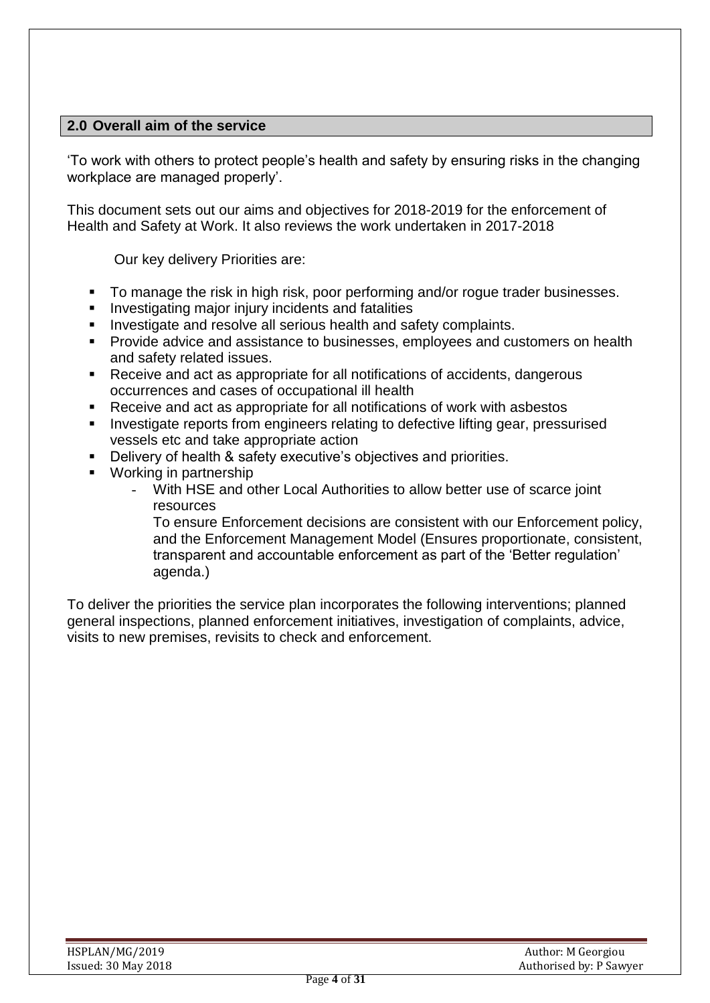# **2.0 Overall aim of the service**

'To work with others to protect people's health and safety by ensuring risks in the changing workplace are managed properly'.

This document sets out our aims and objectives for 2018-2019 for the enforcement of Health and Safety at Work. It also reviews the work undertaken in 2017-2018

Our key delivery Priorities are:

- **To manage the risk in high risk, poor performing and/or rogue trader businesses.**
- **Investigating major injury incidents and fatalities**
- **Investigate and resolve all serious health and safety complaints.**
- Provide advice and assistance to businesses, employees and customers on health and safety related issues.
- Receive and act as appropriate for all notifications of accidents, dangerous occurrences and cases of occupational ill health
- Receive and act as appropriate for all notifications of work with asbestos
- **Investigate reports from engineers relating to defective lifting gear, pressurised** vessels etc and take appropriate action
- **-** Delivery of health & safety executive's objectives and priorities.
- Working in partnership
	- With HSE and other Local Authorities to allow better use of scarce joint resources

To ensure Enforcement decisions are consistent with our Enforcement policy, and the Enforcement Management Model (Ensures proportionate, consistent, transparent and accountable enforcement as part of the 'Better regulation' agenda.)

To deliver the priorities the service plan incorporates the following interventions; planned general inspections, planned enforcement initiatives, investigation of complaints, advice, visits to new premises, revisits to check and enforcement.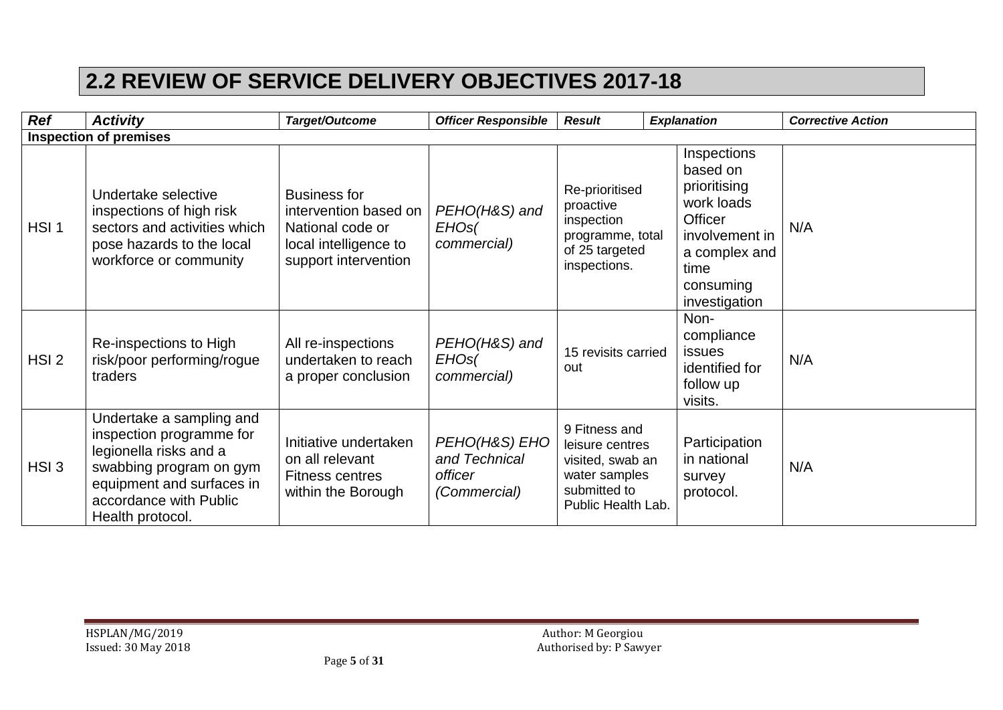# **2.2 REVIEW OF SERVICE DELIVERY OBJECTIVES 2017-18**

| <b>Ref</b>       | <b>Activity</b>                                                                                                                                                                      | Target/Outcome                                                                                                    | <b>Officer Responsible</b>                                | <b>Result</b>                                                                                               | <b>Explanation</b>                                                                                                                               | <b>Corrective Action</b> |
|------------------|--------------------------------------------------------------------------------------------------------------------------------------------------------------------------------------|-------------------------------------------------------------------------------------------------------------------|-----------------------------------------------------------|-------------------------------------------------------------------------------------------------------------|--------------------------------------------------------------------------------------------------------------------------------------------------|--------------------------|
|                  | <b>Inspection of premises</b>                                                                                                                                                        |                                                                                                                   |                                                           |                                                                                                             |                                                                                                                                                  |                          |
| HSI <sub>1</sub> | Undertake selective<br>inspections of high risk<br>sectors and activities which<br>pose hazards to the local<br>workforce or community                                               | <b>Business for</b><br>intervention based on<br>National code or<br>local intelligence to<br>support intervention | PEHO(H&S) and<br>EHO <sub>s</sub><br>commercial)          | Re-prioritised<br>proactive<br>inspection<br>programme, total<br>of 25 targeted<br>inspections.             | Inspections<br>based on<br>prioritising<br>work loads<br><b>Officer</b><br>involvement in<br>a complex and<br>time<br>consuming<br>investigation | N/A                      |
| HSI <sub>2</sub> | Re-inspections to High<br>risk/poor performing/rogue<br>traders                                                                                                                      | All re-inspections<br>undertaken to reach<br>a proper conclusion                                                  | PEHO(H&S) and<br>EHOS(<br>commercial)                     | 15 revisits carried<br>out                                                                                  | Non-<br>compliance<br><b>issues</b><br>identified for<br>follow up<br>visits.                                                                    | N/A                      |
| HSI3             | Undertake a sampling and<br>inspection programme for<br>legionella risks and a<br>swabbing program on gym<br>equipment and surfaces in<br>accordance with Public<br>Health protocol. | Initiative undertaken<br>on all relevant<br><b>Fitness centres</b><br>within the Borough                          | PEHO(H&S) EHO<br>and Technical<br>officer<br>(Commercial) | 9 Fitness and<br>leisure centres<br>visited, swab an<br>water samples<br>submitted to<br>Public Health Lab. | Participation<br>in national<br>survey<br>protocol.                                                                                              | N/A                      |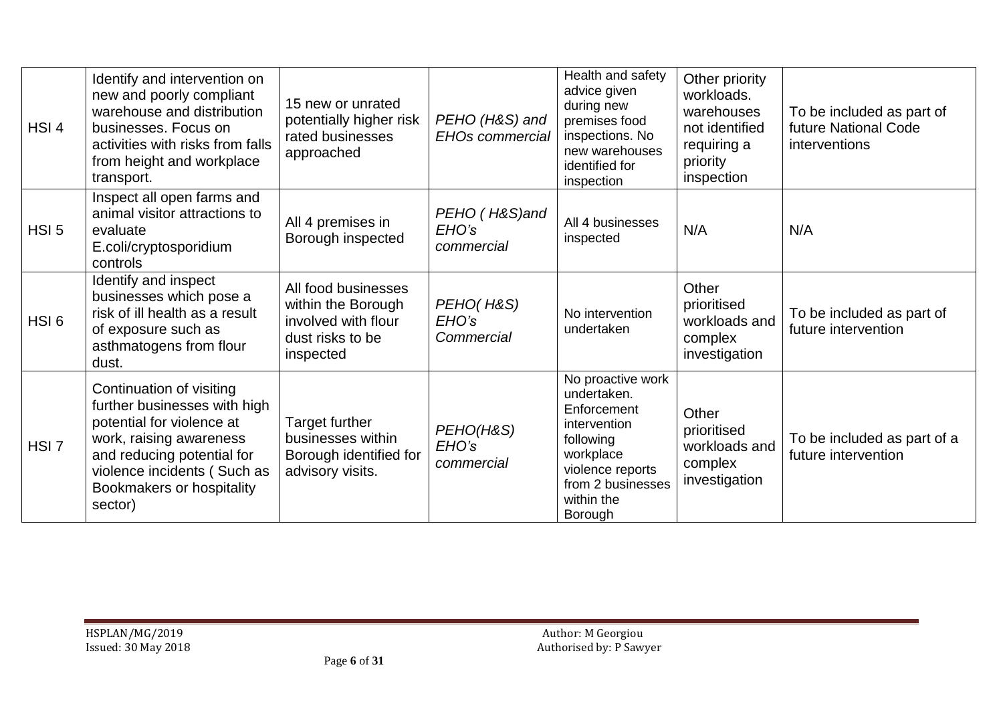| HSI <sub>4</sub> | Identify and intervention on<br>new and poorly compliant<br>warehouse and distribution<br>businesses. Focus on<br>activities with risks from falls<br>from height and workplace<br>transport.                         | 15 new or unrated<br>potentially higher risk<br>rated businesses<br>approached                    | PEHO (H&S) and<br><b>EHOs commercial</b> | Health and safety<br>advice given<br>during new<br>premises food<br>inspections. No<br>new warehouses<br>identified for<br>inspection                       | Other priority<br>workloads.<br>warehouses<br>not identified<br>requiring a<br>priority<br>inspection | To be included as part of<br>future National Code<br>interventions |
|------------------|-----------------------------------------------------------------------------------------------------------------------------------------------------------------------------------------------------------------------|---------------------------------------------------------------------------------------------------|------------------------------------------|-------------------------------------------------------------------------------------------------------------------------------------------------------------|-------------------------------------------------------------------------------------------------------|--------------------------------------------------------------------|
| HSI <sub>5</sub> | Inspect all open farms and<br>animal visitor attractions to<br>evaluate<br>E.coli/cryptosporidium<br>controls                                                                                                         | All 4 premises in<br>Borough inspected                                                            | PEHO (H&S)and<br>EHO's<br>commercial     | All 4 businesses<br>inspected                                                                                                                               | N/A                                                                                                   | N/A                                                                |
| HSI <sub>6</sub> | Identify and inspect<br>businesses which pose a<br>risk of ill health as a result<br>of exposure such as<br>asthmatogens from flour<br>dust.                                                                          | All food businesses<br>within the Borough<br>involved with flour<br>dust risks to be<br>inspected | PEHO(H&S)<br>EHO's<br>Commercial         | No intervention<br>undertaken                                                                                                                               | Other<br>prioritised<br>workloads and<br>complex<br>investigation                                     | To be included as part of<br>future intervention                   |
| HSI <sub>7</sub> | Continuation of visiting<br>further businesses with high<br>potential for violence at<br>work, raising awareness<br>and reducing potential for<br>violence incidents (Such as<br>Bookmakers or hospitality<br>sector) | <b>Target further</b><br>businesses within<br>Borough identified for<br>advisory visits.          | PEHO(H&S)<br>EHO's<br>commercial         | No proactive work<br>undertaken.<br>Enforcement<br>intervention<br>following<br>workplace<br>violence reports<br>from 2 businesses<br>within the<br>Borough | Other<br>prioritised<br>workloads and<br>complex<br>investigation                                     | To be included as part of a<br>future intervention                 |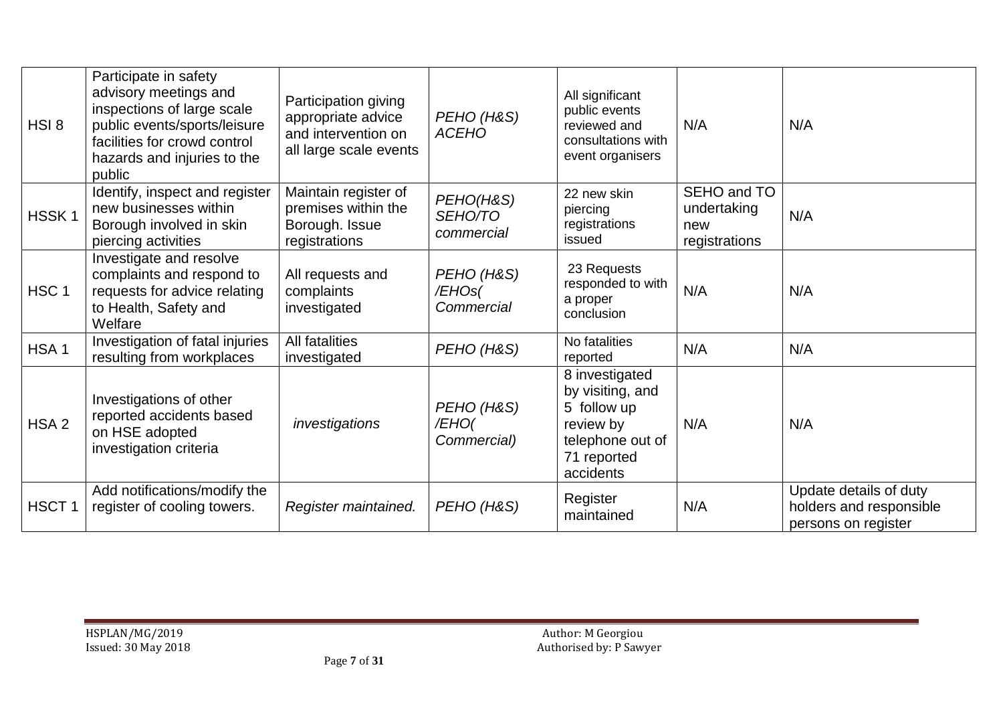| HSI8              | Participate in safety<br>advisory meetings and<br>inspections of large scale<br>public events/sports/leisure<br>facilities for crowd control<br>hazards and injuries to the<br>public | Participation giving<br>appropriate advice<br>and intervention on<br>all large scale events | PEHO (H&S)<br><b>ACEHO</b>         | All significant<br>public events<br>reviewed and<br>consultations with<br>event organisers                     | N/A                                                | N/A                                                                      |
|-------------------|---------------------------------------------------------------------------------------------------------------------------------------------------------------------------------------|---------------------------------------------------------------------------------------------|------------------------------------|----------------------------------------------------------------------------------------------------------------|----------------------------------------------------|--------------------------------------------------------------------------|
| HSSK <sub>1</sub> | Identify, inspect and register<br>new businesses within<br>Borough involved in skin<br>piercing activities                                                                            | Maintain register of<br>premises within the<br>Borough. Issue<br>registrations              | PEHO(H&S)<br>SEHO/TO<br>commercial | 22 new skin<br>piercing<br>registrations<br>issued                                                             | SEHO and TO<br>undertaking<br>new<br>registrations | N/A                                                                      |
| HSC <sub>1</sub>  | Investigate and resolve<br>complaints and respond to<br>requests for advice relating<br>to Health, Safety and<br>Welfare                                                              | All requests and<br>complaints<br>investigated                                              | PEHO (H&S)<br>/EHOs(<br>Commercial | 23 Requests<br>responded to with<br>a proper<br>conclusion                                                     | N/A                                                | N/A                                                                      |
| HSA <sub>1</sub>  | Investigation of fatal injuries<br>resulting from workplaces                                                                                                                          | All fatalities<br>investigated                                                              | PEHO (H&S)                         | No fatalities<br>reported                                                                                      | N/A                                                | N/A                                                                      |
| HSA <sub>2</sub>  | Investigations of other<br>reported accidents based<br>on HSE adopted<br>investigation criteria                                                                                       | investigations                                                                              | PEHO (H&S)<br>/EHO(<br>Commercial) | 8 investigated<br>by visiting, and<br>5 follow up<br>review by<br>telephone out of<br>71 reported<br>accidents | N/A                                                | N/A                                                                      |
| HSCT <sub>1</sub> | Add notifications/modify the<br>register of cooling towers.                                                                                                                           | Register maintained.                                                                        | PEHO (H&S)                         | Register<br>maintained                                                                                         | N/A                                                | Update details of duty<br>holders and responsible<br>persons on register |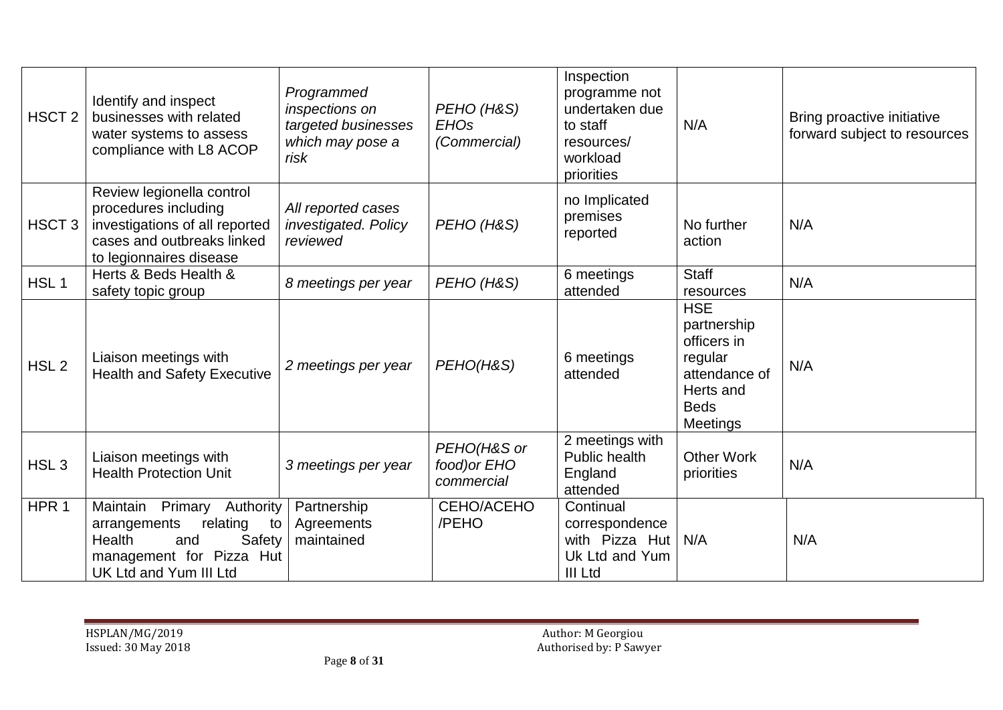| HSCT <sub>2</sub> | Identify and inspect<br>businesses with related<br>water systems to assess<br>compliance with L8 ACOP                                               | Programmed<br>inspections on<br>targeted businesses<br>which may pose a<br>risk | PEHO (H&S)<br><b>EHOs</b><br>(Commercial) | Inspection<br>programme not<br>undertaken due<br>to staff<br>resources/<br>workload<br>priorities | N/A                                                                                                          | Bring proactive initiative<br>forward subject to resources |
|-------------------|-----------------------------------------------------------------------------------------------------------------------------------------------------|---------------------------------------------------------------------------------|-------------------------------------------|---------------------------------------------------------------------------------------------------|--------------------------------------------------------------------------------------------------------------|------------------------------------------------------------|
| HSCT <sub>3</sub> | Review legionella control<br>procedures including<br>investigations of all reported<br>cases and outbreaks linked<br>to legionnaires disease        | All reported cases<br>investigated. Policy<br>reviewed                          | PEHO (H&S)                                | no Implicated<br>premises<br>reported                                                             | No further<br>action                                                                                         | N/A                                                        |
| HSL <sub>1</sub>  | Herts & Beds Health &<br>safety topic group                                                                                                         | 8 meetings per year                                                             | PEHO (H&S)                                | 6 meetings<br>attended                                                                            | <b>Staff</b><br>resources                                                                                    | N/A                                                        |
| HSL <sub>2</sub>  | Liaison meetings with<br><b>Health and Safety Executive</b>                                                                                         | 2 meetings per year                                                             | PEHO(H&S)                                 | 6 meetings<br>attended                                                                            | <b>HSE</b><br>partnership<br>officers in<br>regular<br>attendance of<br>Herts and<br><b>Beds</b><br>Meetings | N/A                                                        |
| HSL <sub>3</sub>  | Liaison meetings with<br><b>Health Protection Unit</b>                                                                                              | 3 meetings per year                                                             | PEHO(H&S or<br>food) or EHO<br>commercial | 2 meetings with<br>Public health<br>England<br>attended                                           | <b>Other Work</b><br>priorities                                                                              | N/A                                                        |
| HPR <sub>1</sub>  | Maintain<br>Primary<br>Authority<br>arrangements<br>relating<br>to<br>Health<br>Safety<br>and<br>management for Pizza Hut<br>UK Ltd and Yum III Ltd | Partnership<br>Agreements<br>maintained                                         | CEHO/ACEHO<br>/PEHO                       | Continual<br>correspondence<br>with Pizza Hut<br>Uk Ltd and Yum<br>III Ltd                        | N/A                                                                                                          | N/A                                                        |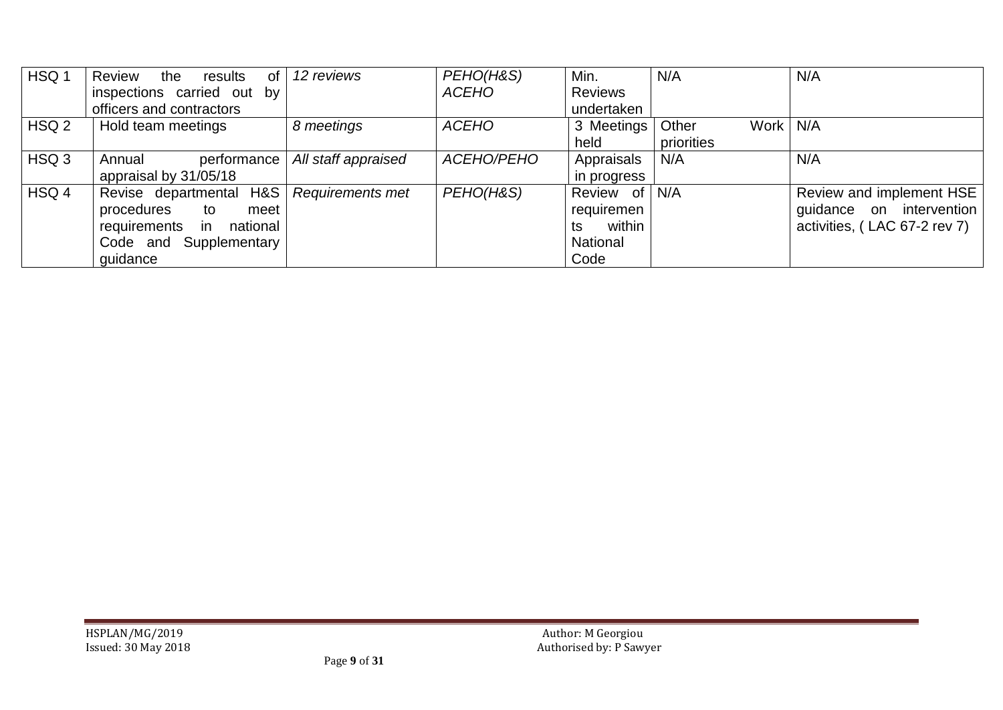| HSQ 1            | Review<br>the<br>results<br>0f  | 12 reviews          | PEHO(H&S)    | Min.           | N/A                 | N/A                          |
|------------------|---------------------------------|---------------------|--------------|----------------|---------------------|------------------------------|
|                  | inspections carried out<br>by . |                     | <b>ACEHO</b> | <b>Reviews</b> |                     |                              |
|                  | officers and contractors        |                     |              | undertaken     |                     |                              |
| HSQ <sub>2</sub> | Hold team meetings              | 8 meetings          | <b>ACEHO</b> | 3 Meetings     | Work   N/A<br>Other |                              |
|                  |                                 |                     |              | held           | priorities          |                              |
| HSQ 3            | Annual<br>performance           | All staff appraised | ACEHO/PEHO   | Appraisals     | N/A                 | N/A                          |
|                  | appraisal by 31/05/18           |                     |              | in progress    |                     |                              |
| HSQ 4            | Revise departmental H&S         | Requirements met    | PEHO(H&S)    | Review of N/A  |                     | Review and implement HSE     |
|                  | procedures<br>meet<br>to        |                     |              | requiremen     |                     | guidance on intervention     |
|                  | requirements in<br>national     |                     |              | within<br>ts   |                     | activities, (LAC 67-2 rev 7) |
|                  | Code and Supplementary          |                     |              | National       |                     |                              |
|                  | quidance                        |                     |              | Code           |                     |                              |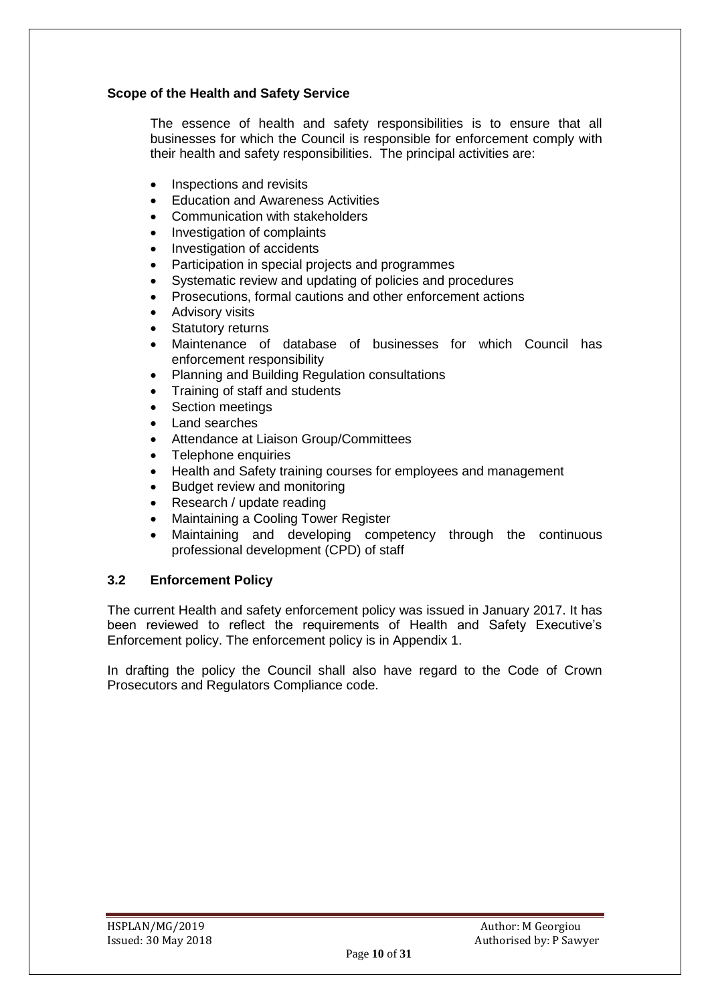#### **Scope of the Health and Safety Service**

The essence of health and safety responsibilities is to ensure that all businesses for which the Council is responsible for enforcement comply with their health and safety responsibilities. The principal activities are:

- Inspections and revisits
- Education and Awareness Activities
- Communication with stakeholders
- Investigation of complaints
- Investigation of accidents
- Participation in special projects and programmes
- Systematic review and updating of policies and procedures
- Prosecutions, formal cautions and other enforcement actions
- Advisory visits
- Statutory returns
- Maintenance of database of businesses for which Council has enforcement responsibility
- Planning and Building Regulation consultations
- Training of staff and students
- Section meetings
- Land searches
- Attendance at Liaison Group/Committees
- Telephone enquiries
- Health and Safety training courses for employees and management
- Budget review and monitoring
- Research / update reading
- Maintaining a Cooling Tower Register
- Maintaining and developing competency through the continuous professional development (CPD) of staff

#### **3.2 Enforcement Policy**

The current Health and safety enforcement policy was issued in January 2017. It has been reviewed to reflect the requirements of Health and Safety Executive's Enforcement policy. The enforcement policy is in Appendix 1.

In drafting the policy the Council shall also have regard to the Code of Crown Prosecutors and Regulators Compliance code.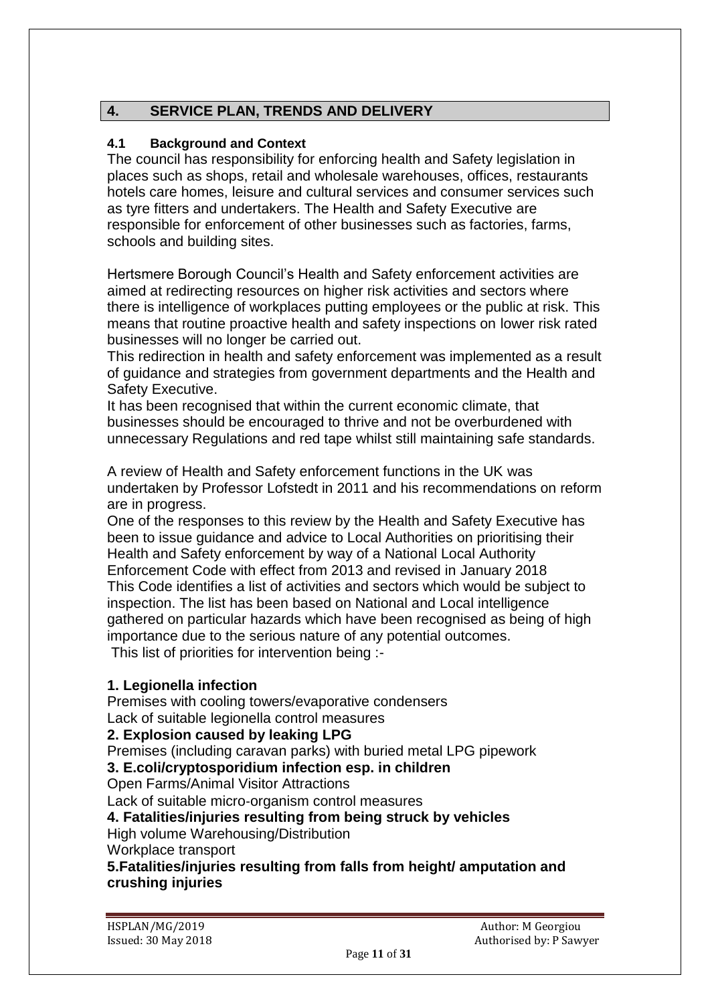# **4. SERVICE PLAN, TRENDS AND DELIVERY**

# **4.1 Background and Context**

The council has responsibility for enforcing health and Safety legislation in places such as shops, retail and wholesale warehouses, offices, restaurants hotels care homes, leisure and cultural services and consumer services such as tyre fitters and undertakers. The Health and Safety Executive are responsible for enforcement of other businesses such as factories, farms, schools and building sites.

Hertsmere Borough Council's Health and Safety enforcement activities are aimed at redirecting resources on higher risk activities and sectors where there is intelligence of workplaces putting employees or the public at risk. This means that routine proactive health and safety inspections on lower risk rated businesses will no longer be carried out.

This redirection in health and safety enforcement was implemented as a result of guidance and strategies from government departments and the Health and Safety Executive.

It has been recognised that within the current economic climate, that businesses should be encouraged to thrive and not be overburdened with unnecessary Regulations and red tape whilst still maintaining safe standards.

A review of Health and Safety enforcement functions in the UK was undertaken by Professor Lofstedt in 2011 and his recommendations on reform are in progress.

One of the responses to this review by the Health and Safety Executive has been to issue guidance and advice to Local Authorities on prioritising their Health and Safety enforcement by way of a National Local Authority Enforcement Code with effect from 2013 and revised in January 2018 This Code identifies a list of activities and sectors which would be subject to inspection. The list has been based on National and Local intelligence gathered on particular hazards which have been recognised as being of high importance due to the serious nature of any potential outcomes.

This list of priorities for intervention being :-

# **1. Legionella infection**

Premises with cooling towers/evaporative condensers Lack of suitable legionella control measures

# **2. Explosion caused by leaking LPG**

Premises (including caravan parks) with buried metal LPG pipework

# **3. E.coli/cryptosporidium infection esp. in children**

Open Farms/Animal Visitor Attractions

Lack of suitable micro‐organism control measures

# **4. Fatalities/injuries resulting from being struck by vehicles**

High volume Warehousing/Distribution

Workplace transport

**5.Fatalities/injuries resulting from falls from height/ amputation and crushing injuries**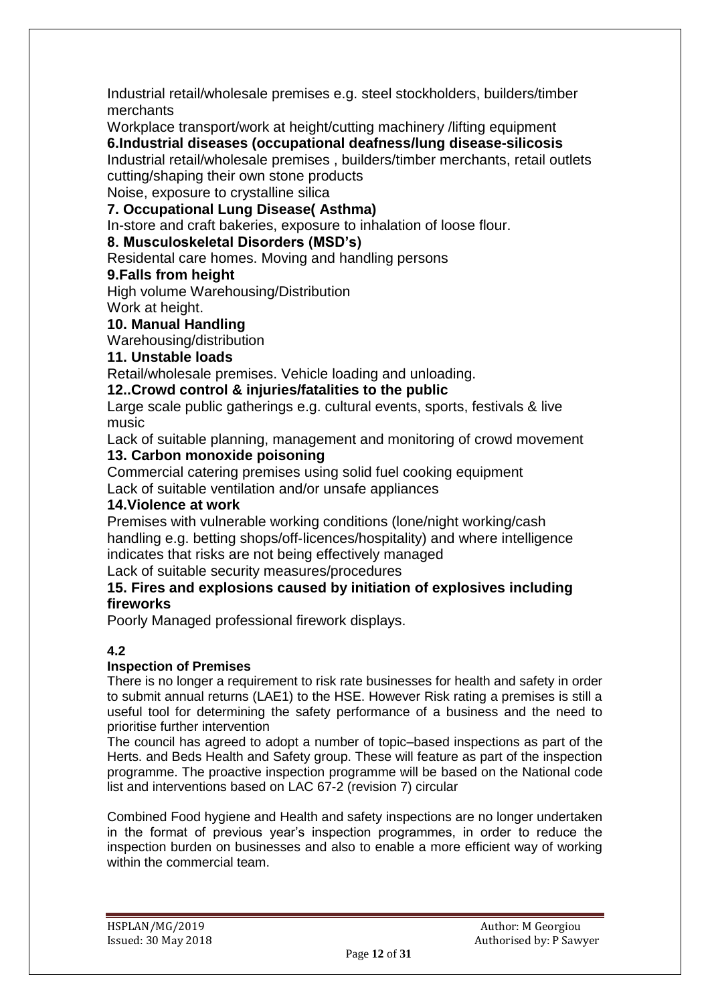Industrial retail/wholesale premises e.g. steel stockholders, builders/timber merchants

Workplace transport/work at height/cutting machinery /lifting equipment **6.Industrial diseases (occupational deafness/lung disease-silicosis** Industrial retail/wholesale premises , builders/timber merchants, retail outlets cutting/shaping their own stone products

Noise, exposure to crystalline silica

# **7. Occupational Lung Disease( Asthma)**

In-store and craft bakeries, exposure to inhalation of loose flour.

# **8. Musculoskeletal Disorders (MSD's)**

Residental care homes. Moving and handling persons

# **9.Falls from height**

High volume Warehousing/Distribution

Work at height.

# **10. Manual Handling**

Warehousing/distribution

# **11. Unstable loads**

Retail/wholesale premises. Vehicle loading and unloading.

# **12..Crowd control & injuries/fatalities to the public**

Large scale public gatherings e.g. cultural events, sports, festivals & live music

Lack of suitable planning, management and monitoring of crowd movement **13. Carbon monoxide poisoning**

Commercial catering premises using solid fuel cooking equipment Lack of suitable ventilation and/or unsafe appliances

# **14.Violence at work**

Premises with vulnerable working conditions (lone/night working/cash handling e.g. betting shops/off-licences/hospitality) and where intelligence indicates that risks are not being effectively managed

Lack of suitable security measures/procedures

#### **15. Fires and explosions caused by initiation of explosives including fireworks**

Poorly Managed professional firework displays.

# **4.2**

# **Inspection of Premises**

There is no longer a requirement to risk rate businesses for health and safety in order to submit annual returns (LAE1) to the HSE. However Risk rating a premises is still a useful tool for determining the safety performance of a business and the need to prioritise further intervention

The council has agreed to adopt a number of topic–based inspections as part of the Herts. and Beds Health and Safety group. These will feature as part of the inspection programme. The proactive inspection programme will be based on the National code list and interventions based on LAC 67-2 (revision 7) circular

Combined Food hygiene and Health and safety inspections are no longer undertaken in the format of previous year's inspection programmes, in order to reduce the inspection burden on businesses and also to enable a more efficient way of working within the commercial team.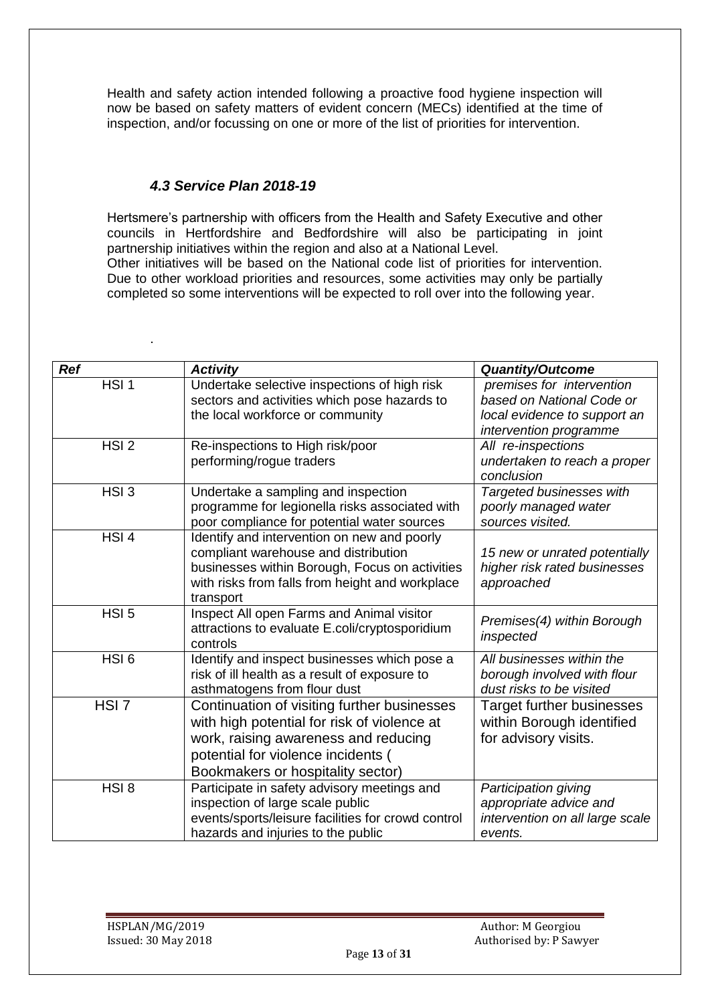Health and safety action intended following a proactive food hygiene inspection will now be based on safety matters of evident concern (MECs) identified at the time of inspection, and/or focussing on one or more of the list of priorities for intervention.

# *4.3 Service Plan 2018-19*

.

Hertsmere's partnership with officers from the Health and Safety Executive and other councils in Hertfordshire and Bedfordshire will also be participating in joint partnership initiatives within the region and also at a National Level. Other initiatives will be based on the National code list of priorities for intervention. Due to other workload priorities and resources, some activities may only be partially completed so some interventions will be expected to roll over into the following year.

| <b>Ref</b>       | <b>Activity</b>                                                                                                                                                                                               | <b>Quantity/Outcome</b>                                                                                          |
|------------------|---------------------------------------------------------------------------------------------------------------------------------------------------------------------------------------------------------------|------------------------------------------------------------------------------------------------------------------|
| $HSI$ 1          | Undertake selective inspections of high risk<br>sectors and activities which pose hazards to<br>the local workforce or community                                                                              | premises for intervention<br>based on National Code or<br>local evidence to support an<br>intervention programme |
| HSI <sub>2</sub> | Re-inspections to High risk/poor<br>performing/rogue traders                                                                                                                                                  | All re-inspections<br>undertaken to reach a proper<br>conclusion                                                 |
| HSI <sub>3</sub> | Undertake a sampling and inspection<br>programme for legionella risks associated with<br>poor compliance for potential water sources                                                                          | Targeted businesses with<br>poorly managed water<br>sources visited.                                             |
| $HSI$ 4          | Identify and intervention on new and poorly<br>compliant warehouse and distribution<br>businesses within Borough, Focus on activities<br>with risks from falls from height and workplace<br>transport         | 15 new or unrated potentially<br>higher risk rated businesses<br>approached                                      |
| HSI <sub>5</sub> | Inspect All open Farms and Animal visitor<br>attractions to evaluate E.coli/cryptosporidium<br>controls                                                                                                       | Premises(4) within Borough<br>inspected                                                                          |
| $HSI_6$          | Identify and inspect businesses which pose a<br>risk of ill health as a result of exposure to<br>asthmatogens from flour dust                                                                                 | All businesses within the<br>borough involved with flour<br>dust risks to be visited                             |
| HSI <sub>7</sub> | Continuation of visiting further businesses<br>with high potential for risk of violence at<br>work, raising awareness and reducing<br>potential for violence incidents (<br>Bookmakers or hospitality sector) | <b>Target further businesses</b><br>within Borough identified<br>for advisory visits.                            |
| HSI <sub>8</sub> | Participate in safety advisory meetings and<br>inspection of large scale public<br>events/sports/leisure facilities for crowd control<br>hazards and injuries to the public                                   | Participation giving<br>appropriate advice and<br>intervention on all large scale<br>events.                     |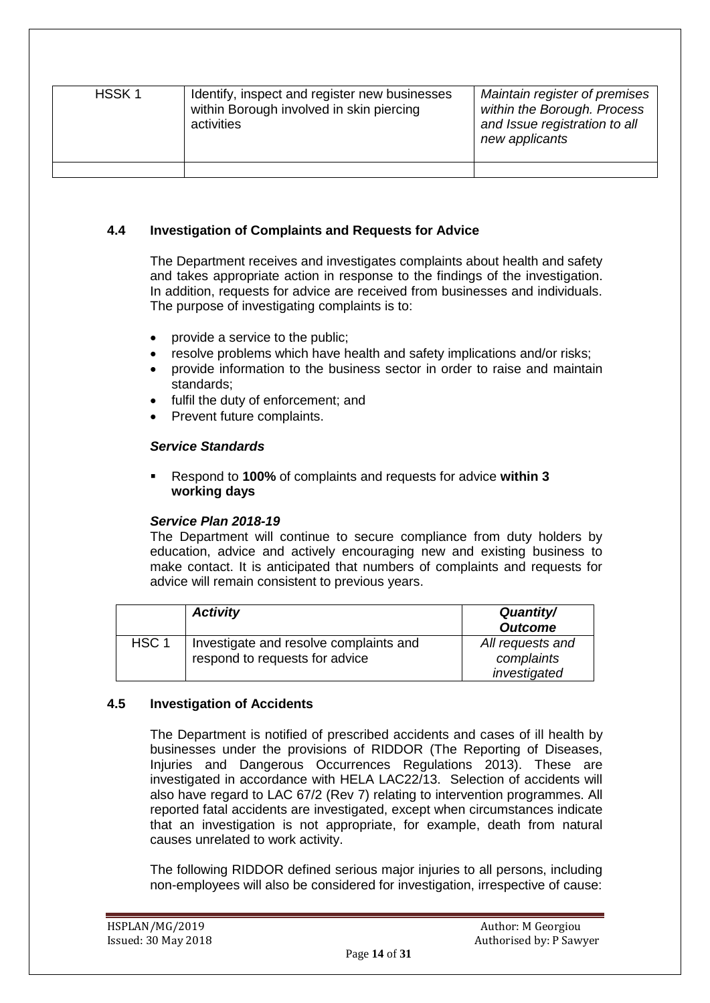| HSSK <sub>1</sub> | Identify, inspect and register new businesses<br>within Borough involved in skin piercing<br>activities | Maintain register of premises<br>within the Borough. Process<br>and Issue registration to all<br>new applicants |
|-------------------|---------------------------------------------------------------------------------------------------------|-----------------------------------------------------------------------------------------------------------------|
|                   |                                                                                                         |                                                                                                                 |

#### **4.4 Investigation of Complaints and Requests for Advice**

The Department receives and investigates complaints about health and safety and takes appropriate action in response to the findings of the investigation. In addition, requests for advice are received from businesses and individuals. The purpose of investigating complaints is to:

- provide a service to the public;
- resolve problems which have health and safety implications and/or risks;
- provide information to the business sector in order to raise and maintain standards;
- fulfil the duty of enforcement; and
- Prevent future complaints.

#### *Service Standards*

 Respond to **100%** of complaints and requests for advice **within 3 working days**

#### *Service Plan 2018-19*

The Department will continue to secure compliance from duty holders by education, advice and actively encouraging new and existing business to make contact. It is anticipated that numbers of complaints and requests for advice will remain consistent to previous years.

|                  | <b>Activity</b>                        | Quantity/<br><b>Outcome</b> |
|------------------|----------------------------------------|-----------------------------|
| HSC <sub>1</sub> | Investigate and resolve complaints and | All requests and            |
|                  | respond to requests for advice         | complaints                  |
|                  |                                        | investigated                |

#### **4.5 Investigation of Accidents**

The Department is notified of prescribed accidents and cases of ill health by businesses under the provisions of RIDDOR (The Reporting of Diseases, Injuries and Dangerous Occurrences Regulations 2013). These are investigated in accordance with HELA LAC22/13. Selection of accidents will also have regard to LAC 67/2 (Rev 7) relating to intervention programmes. All reported fatal accidents are investigated, except when circumstances indicate that an investigation is not appropriate, for example, death from natural causes unrelated to work activity.

The following RIDDOR defined serious major injuries to all persons, including non-employees will also be considered for investigation, irrespective of cause: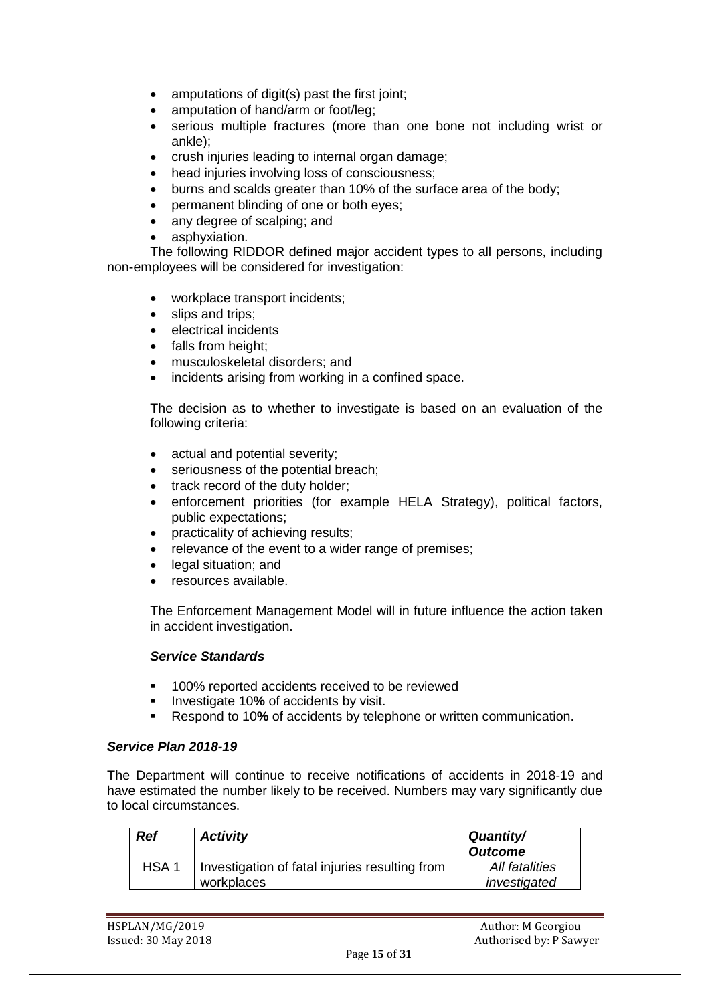- amputations of digit(s) past the first joint;
- amputation of hand/arm or foot/leg;
- serious multiple fractures (more than one bone not including wrist or ankle);
- crush injuries leading to internal organ damage;
- head injuries involving loss of consciousness;
- burns and scalds greater than 10% of the surface area of the body;
- permanent blinding of one or both eyes;
- any degree of scalping; and
- asphyxiation.

The following RIDDOR defined major accident types to all persons, including non-employees will be considered for investigation:

- workplace transport incidents;
- slips and trips;
- electrical incidents
- falls from height:
- musculoskeletal disorders; and
- incidents arising from working in a confined space.

The decision as to whether to investigate is based on an evaluation of the following criteria:

- actual and potential severity:
- seriousness of the potential breach;
- track record of the duty holder;
- enforcement priorities (for example HELA Strategy), political factors, public expectations;
- practicality of achieving results;
- relevance of the event to a wider range of premises;
- legal situation; and
- resources available.

The Enforcement Management Model will in future influence the action taken in accident investigation.

#### *Service Standards*

- 100% reported accidents received to be reviewed
- **Investigate 10% of accidents by visit.**
- Respond to 10**%** of accidents by telephone or written communication.

#### *Service Plan 2018-19*

The Department will continue to receive notifications of accidents in 2018-19 and have estimated the number likely to be received. Numbers may vary significantly due to local circumstances.

| Ref              | <b>Activity</b>                                              | Quantity/<br><b>Outcome</b>    |
|------------------|--------------------------------------------------------------|--------------------------------|
| HSA <sub>1</sub> | Investigation of fatal injuries resulting from<br>workplaces | All fatalities<br>investigated |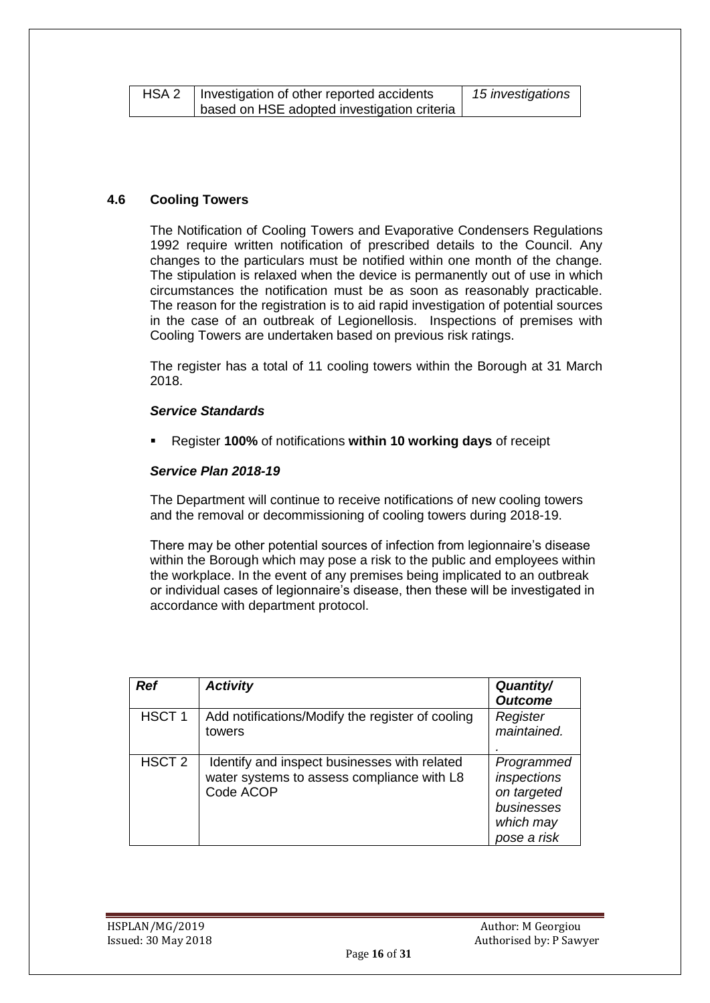| HSA 2 | I Investigation of other reported accidents | 15 investigations |
|-------|---------------------------------------------|-------------------|
|       | based on HSE adopted investigation criteria |                   |

#### **4.6 Cooling Towers**

The Notification of Cooling Towers and Evaporative Condensers Regulations 1992 require written notification of prescribed details to the Council. Any changes to the particulars must be notified within one month of the change. The stipulation is relaxed when the device is permanently out of use in which circumstances the notification must be as soon as reasonably practicable. The reason for the registration is to aid rapid investigation of potential sources in the case of an outbreak of Legionellosis. Inspections of premises with Cooling Towers are undertaken based on previous risk ratings.

The register has a total of 11 cooling towers within the Borough at 31 March 2018.

#### *Service Standards*

Register **100%** of notifications **within 10 working days** of receipt

#### *Service Plan 2018-19*

The Department will continue to receive notifications of new cooling towers and the removal or decommissioning of cooling towers during 2018-19.

There may be other potential sources of infection from legionnaire's disease within the Borough which may pose a risk to the public and employees within the workplace. In the event of any premises being implicated to an outbreak or individual cases of legionnaire's disease, then these will be investigated in accordance with department protocol.

| <b>Ref</b>        | <b>Activity</b>                                                                                         | <b>Quantity/</b><br><b>Outcome</b>                                                 |
|-------------------|---------------------------------------------------------------------------------------------------------|------------------------------------------------------------------------------------|
| HSCT <sub>1</sub> | Add notifications/Modify the register of cooling<br>towers                                              | Register<br>maintained.                                                            |
| HSCT <sub>2</sub> | Identify and inspect businesses with related<br>water systems to assess compliance with L8<br>Code ACOP | Programmed<br>inspections<br>on targeted<br>businesses<br>which may<br>pose a risk |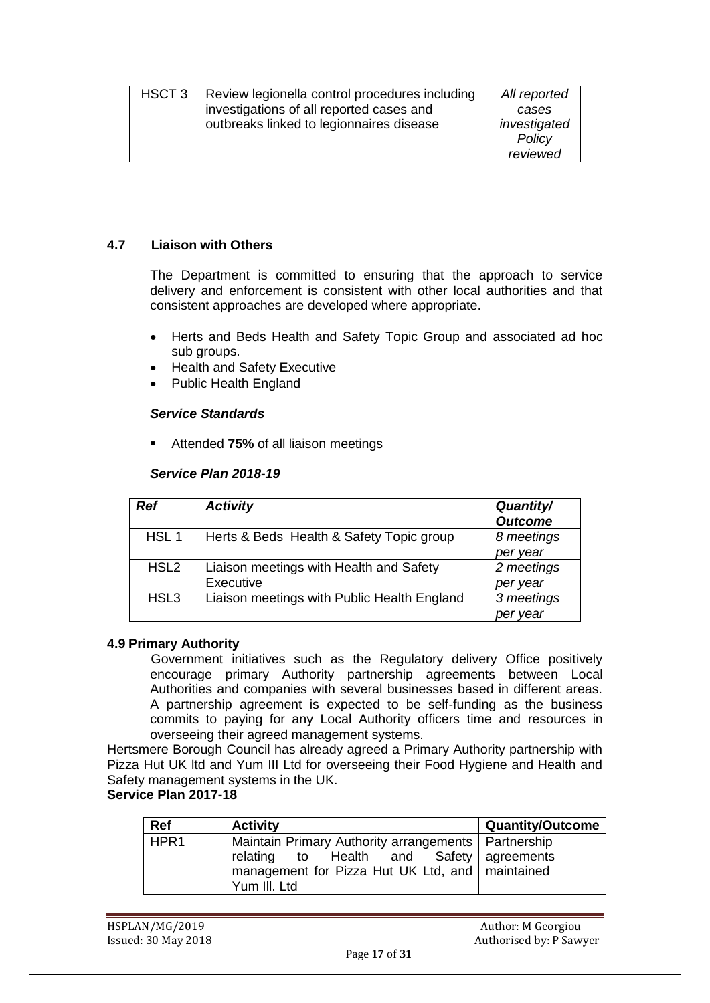| HSCT <sub>3</sub> | Review legionella control procedures including<br>investigations of all reported cases and<br>outbreaks linked to legionnaires disease | All reported<br>cases<br>investigated |
|-------------------|----------------------------------------------------------------------------------------------------------------------------------------|---------------------------------------|
|                   |                                                                                                                                        | Policy                                |
|                   |                                                                                                                                        | reviewed                              |

#### **4.7 Liaison with Others**

The Department is committed to ensuring that the approach to service delivery and enforcement is consistent with other local authorities and that consistent approaches are developed where appropriate.

- Herts and Beds Health and Safety Topic Group and associated ad hoc sub groups.
- Health and Safety Executive
- Public Health England

#### *Service Standards*

Attended **75%** of all liaison meetings

#### *Service Plan 2018-19*

| Ref              | <b>Activity</b>                             | <b>Quantity/</b><br><b>Outcome</b> |
|------------------|---------------------------------------------|------------------------------------|
| HSL <sub>1</sub> | Herts & Beds Health & Safety Topic group    | 8 meetings                         |
|                  |                                             | per year                           |
| HSL <sub>2</sub> | Liaison meetings with Health and Safety     | 2 meetings                         |
|                  | Executive                                   | per year                           |
| HSL <sub>3</sub> | Liaison meetings with Public Health England | 3 meetings                         |
|                  |                                             | per vear                           |

#### **4.9 Primary Authority**

 Government initiatives such as the Regulatory delivery Office positively encourage primary Authority partnership agreements between Local Authorities and companies with several businesses based in different areas. A partnership agreement is expected to be self-funding as the business commits to paying for any Local Authority officers time and resources in overseeing their agreed management systems.

Hertsmere Borough Council has already agreed a Primary Authority partnership with Pizza Hut UK ltd and Yum III Ltd for overseeing their Food Hygiene and Health and Safety management systems in the UK.

### **Service Plan 2017-18**

| Ref              | <b>Activity</b>                                       | <b>Quantity/Outcome</b> |
|------------------|-------------------------------------------------------|-------------------------|
| HPR <sub>1</sub> | Maintain Primary Authority arrangements   Partnership |                         |
|                  | relating to Health and Safety agreements              |                         |
|                  | management for Pizza Hut UK Ltd, and maintained       |                         |
|                  | l Yum III. Ltd                                        |                         |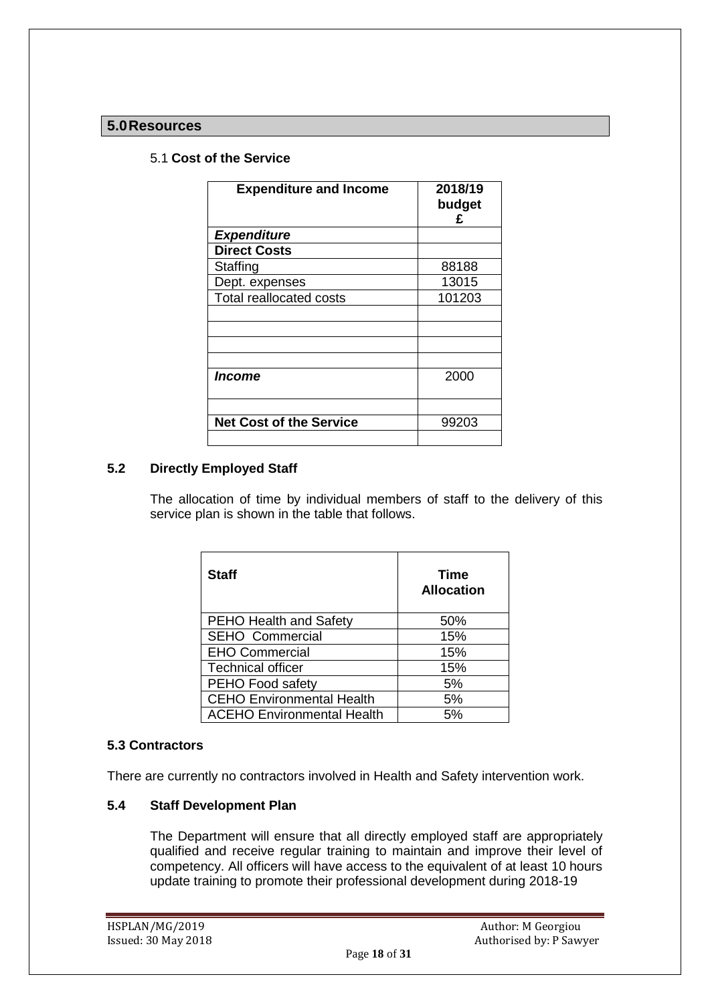# **5.0Resources**

## 5.1 **Cost of the Service**

| <b>Expenditure and Income</b>  | 2018/19<br>budget<br>£ |
|--------------------------------|------------------------|
| <b>Expenditure</b>             |                        |
| <b>Direct Costs</b>            |                        |
| Staffing                       | 88188                  |
| Dept. expenses                 | 13015                  |
| <b>Total reallocated costs</b> | 101203                 |
|                                |                        |
|                                |                        |
|                                |                        |
|                                |                        |
| <i><b>Income</b></i>           | 2000                   |
|                                |                        |
|                                |                        |
| <b>Net Cost of the Service</b> | 99203                  |
|                                |                        |

#### **5.2 Directly Employed Staff**

The allocation of time by individual members of staff to the delivery of this service plan is shown in the table that follows.

| <b>Staff</b>                      | <b>Time</b><br><b>Allocation</b> |
|-----------------------------------|----------------------------------|
| <b>PEHO Health and Safety</b>     | 50%                              |
| <b>SEHO Commercial</b>            | 15%                              |
| <b>EHO Commercial</b>             | 15%                              |
| <b>Technical officer</b>          | 15%                              |
| PEHO Food safety                  | 5%                               |
| <b>CEHO Environmental Health</b>  | 5%                               |
| <b>ACEHO Environmental Health</b> | 5%                               |

#### **5.3 Contractors**

There are currently no contractors involved in Health and Safety intervention work.

#### **5.4 Staff Development Plan**

The Department will ensure that all directly employed staff are appropriately qualified and receive regular training to maintain and improve their level of competency. All officers will have access to the equivalent of at least 10 hours update training to promote their professional development during 2018-19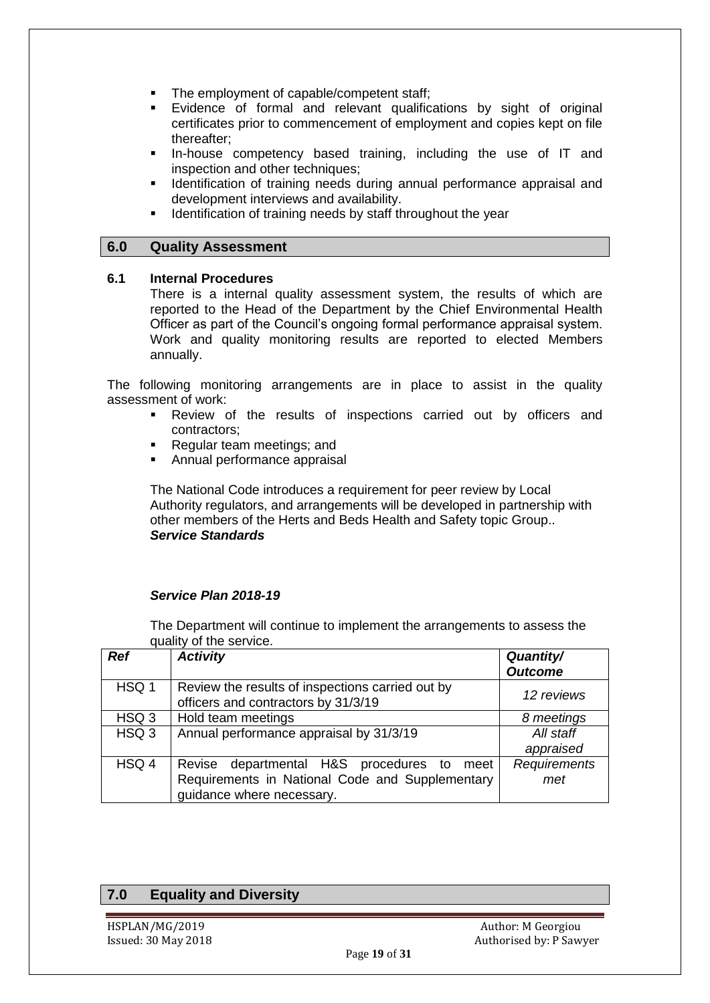- The employment of capable/competent staff;
- Evidence of formal and relevant qualifications by sight of original certificates prior to commencement of employment and copies kept on file thereafter;
- In-house competency based training, including the use of IT and inspection and other techniques;
- Identification of training needs during annual performance appraisal and development interviews and availability.
- Identification of training needs by staff throughout the year

#### **6.0 Quality Assessment**

#### **6.1 Internal Procedures**

There is a internal quality assessment system, the results of which are reported to the Head of the Department by the Chief Environmental Health Officer as part of the Council's ongoing formal performance appraisal system. Work and quality monitoring results are reported to elected Members annually.

The following monitoring arrangements are in place to assist in the quality assessment of work:

- Review of the results of inspections carried out by officers and contractors;
- Regular team meetings; and
- Annual performance appraisal

The National Code introduces a requirement for peer review by Local Authority regulators, and arrangements will be developed in partnership with other members of the Herts and Beds Health and Safety topic Group.. *Service Standards*

#### *Service Plan 2018-19*

The Department will continue to implement the arrangements to assess the quality of the service.

| <b>Ref</b>       | <b>Activity</b>                                                                         | <b>Quantity/</b><br><b>Outcome</b> |
|------------------|-----------------------------------------------------------------------------------------|------------------------------------|
| HSQ 1            | Review the results of inspections carried out by<br>officers and contractors by 31/3/19 | 12 reviews                         |
| HSQ <sub>3</sub> | Hold team meetings                                                                      | 8 meetings                         |
| HSQ <sub>3</sub> | Annual performance appraisal by 31/3/19                                                 | All staff                          |
|                  |                                                                                         | appraised                          |
| HSQ 4            | Revise departmental H&S procedures to meet                                              | Requirements                       |
|                  | Requirements in National Code and Supplementary<br>guidance where necessary.            | met                                |

# **7.0 Equality and Diversity**

HSPLAN/MG/2019 Author: M Georgiou Issued: 30 May 2018 **Authorised by: P Sawyer**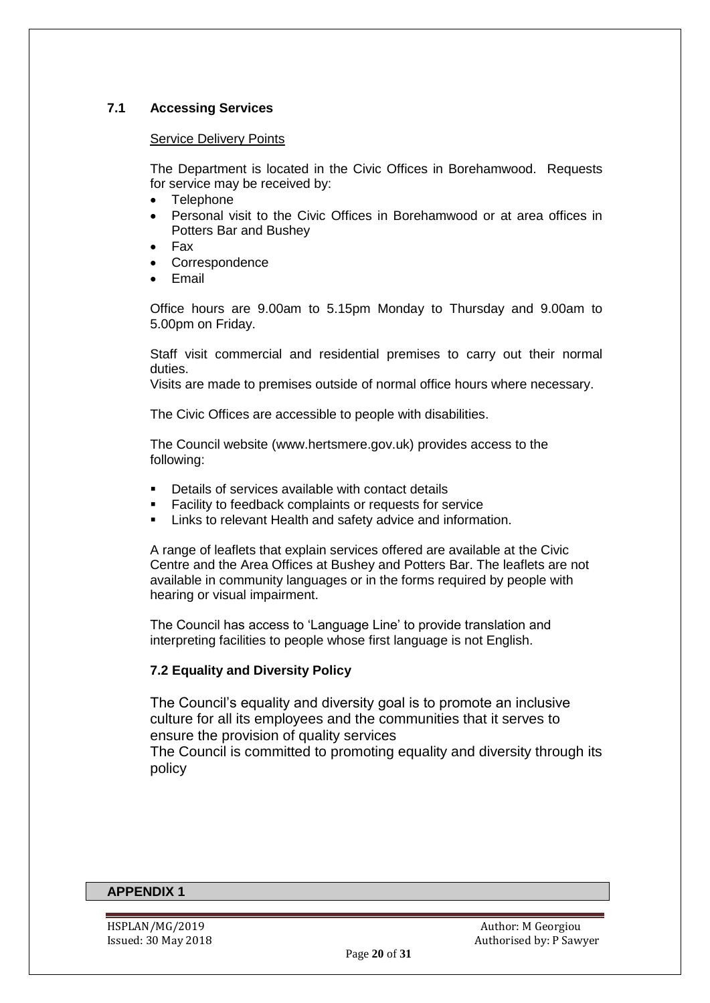### **7.1 Accessing Services**

#### Service Delivery Points

The Department is located in the Civic Offices in Borehamwood. Requests for service may be received by:

- Telephone
- Personal visit to the Civic Offices in Borehamwood or at area offices in Potters Bar and Bushey
- Fax
- Correspondence
- Email

Office hours are 9.00am to 5.15pm Monday to Thursday and 9.00am to 5.00pm on Friday.

Staff visit commercial and residential premises to carry out their normal duties.

Visits are made to premises outside of normal office hours where necessary.

The Civic Offices are accessible to people with disabilities.

The Council website [\(www.hertsmere.gov.uk\)](http://www.hertsmere.gov.uk/) provides access to the following:

- Details of services available with contact details
- **Facility to feedback complaints or requests for service**
- Links to relevant Health and safety advice and information.

A range of leaflets that explain services offered are available at the Civic Centre and the Area Offices at Bushey and Potters Bar. The leaflets are not available in community languages or in the forms required by people with hearing or visual impairment.

The Council has access to 'Language Line' to provide translation and interpreting facilities to people whose first language is not English.

#### **7.2 Equality and Diversity Policy**

The Council's equality and diversity goal is to promote an inclusive culture for all its employees and the communities that it serves to ensure the provision of quality services

The Council is committed to promoting equality and diversity through its policy

#### **APPENDIX 1**

HSPLAN/MG/2019 Author: M Georgiou Issued: 30 May 2018 **Authorised by: P Sawyer**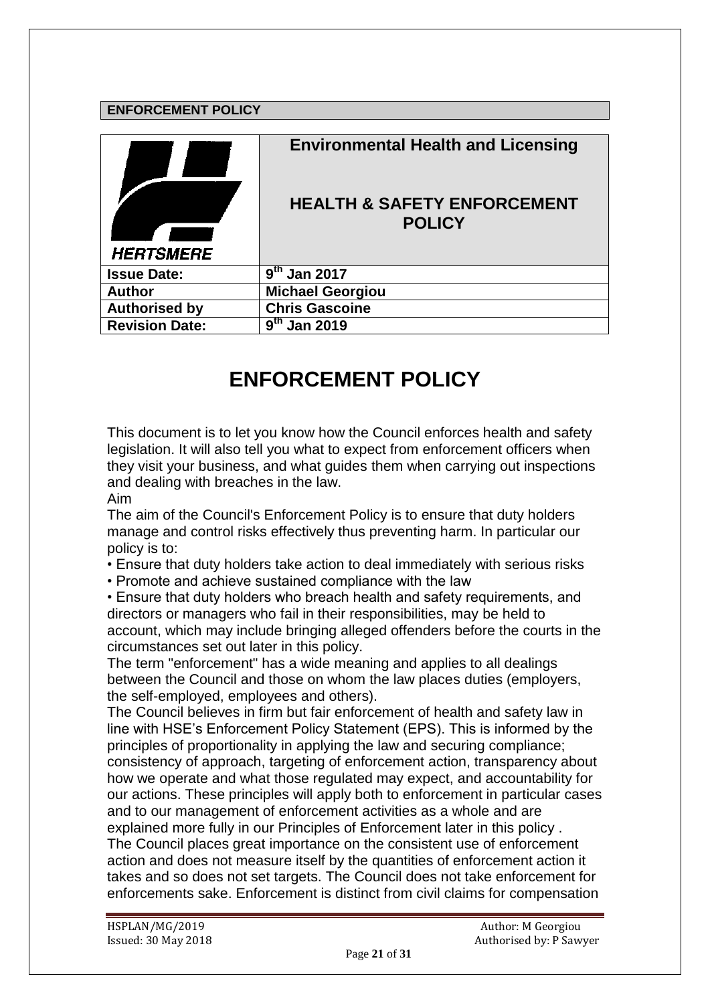# **ENFORCEMENT POLICY**

| <b>HERTSMERE</b>      | <b>Environmental Health and Licensing</b><br><b>HEALTH &amp; SAFETY ENFORCEMENT</b><br><b>POLICY</b> |
|-----------------------|------------------------------------------------------------------------------------------------------|
| <b>Issue Date:</b>    | $9th$ Jan 2017                                                                                       |
| <b>Author</b>         | <b>Michael Georgiou</b>                                                                              |
| <b>Authorised by</b>  | <b>Chris Gascoine</b>                                                                                |
| <b>Revision Date:</b> | $\overline{9}^{\text{th}}$ Jan 2019                                                                  |

# **ENFORCEMENT POLICY**

This document is to let you know how the Council enforces health and safety legislation. It will also tell you what to expect from enforcement officers when they visit your business, and what guides them when carrying out inspections and dealing with breaches in the law.

Aim

The aim of the Council's Enforcement Policy is to ensure that duty holders manage and control risks effectively thus preventing harm. In particular our policy is to:

• Ensure that duty holders take action to deal immediately with serious risks

• Promote and achieve sustained compliance with the law

• Ensure that duty holders who breach health and safety requirements, and directors or managers who fail in their responsibilities, may be held to account, which may include bringing alleged offenders before the courts in the circumstances set out later in this policy.

The term "enforcement" has a wide meaning and applies to all dealings between the Council and those on whom the law places duties (employers, the self-employed, employees and others).

The Council believes in firm but fair enforcement of health and safety law in line with HSE's Enforcement Policy Statement (EPS). This is informed by the principles of proportionality in applying the law and securing compliance; consistency of approach, targeting of enforcement action, transparency about how we operate and what those regulated may expect, and accountability for our actions. These principles will apply both to enforcement in particular cases and to our management of enforcement activities as a whole and are explained more fully in our Principles of Enforcement later in this policy . The Council places great importance on the consistent use of enforcement action and does not measure itself by the quantities of enforcement action it takes and so does not set targets. The Council does not take enforcement for enforcements sake. Enforcement is distinct from civil claims for compensation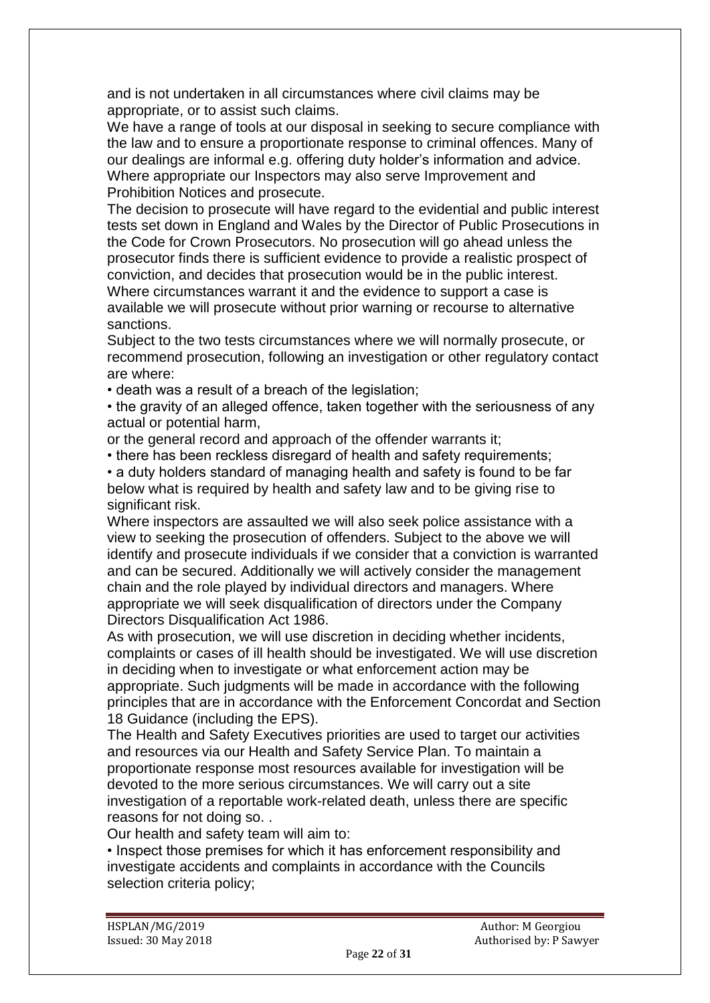and is not undertaken in all circumstances where civil claims may be appropriate, or to assist such claims.

We have a range of tools at our disposal in seeking to secure compliance with the law and to ensure a proportionate response to criminal offences. Many of our dealings are informal e.g. offering duty holder's information and advice. Where appropriate our Inspectors may also serve Improvement and Prohibition Notices and prosecute.

The decision to prosecute will have regard to the evidential and public interest tests set down in England and Wales by the Director of Public Prosecutions in the Code for Crown Prosecutors. No prosecution will go ahead unless the prosecutor finds there is sufficient evidence to provide a realistic prospect of conviction, and decides that prosecution would be in the public interest. Where circumstances warrant it and the evidence to support a case is available we will prosecute without prior warning or recourse to alternative sanctions.

Subject to the two tests circumstances where we will normally prosecute, or recommend prosecution, following an investigation or other regulatory contact are where:

• death was a result of a breach of the legislation;

• the gravity of an alleged offence, taken together with the seriousness of any actual or potential harm,

or the general record and approach of the offender warrants it;

• there has been reckless disregard of health and safety requirements;

• a duty holders standard of managing health and safety is found to be far below what is required by health and safety law and to be giving rise to significant risk.

Where inspectors are assaulted we will also seek police assistance with a view to seeking the prosecution of offenders. Subject to the above we will identify and prosecute individuals if we consider that a conviction is warranted and can be secured. Additionally we will actively consider the management chain and the role played by individual directors and managers. Where appropriate we will seek disqualification of directors under the Company Directors Disqualification Act 1986.

As with prosecution, we will use discretion in deciding whether incidents, complaints or cases of ill health should be investigated. We will use discretion in deciding when to investigate or what enforcement action may be appropriate. Such judgments will be made in accordance with the following principles that are in accordance with the Enforcement Concordat and Section 18 Guidance (including the EPS).

The Health and Safety Executives priorities are used to target our activities and resources via our Health and Safety Service Plan. To maintain a proportionate response most resources available for investigation will be devoted to the more serious circumstances. We will carry out a site investigation of a reportable work-related death, unless there are specific reasons for not doing so. .

Our health and safety team will aim to:

• Inspect those premises for which it has enforcement responsibility and investigate accidents and complaints in accordance with the Councils selection criteria policy;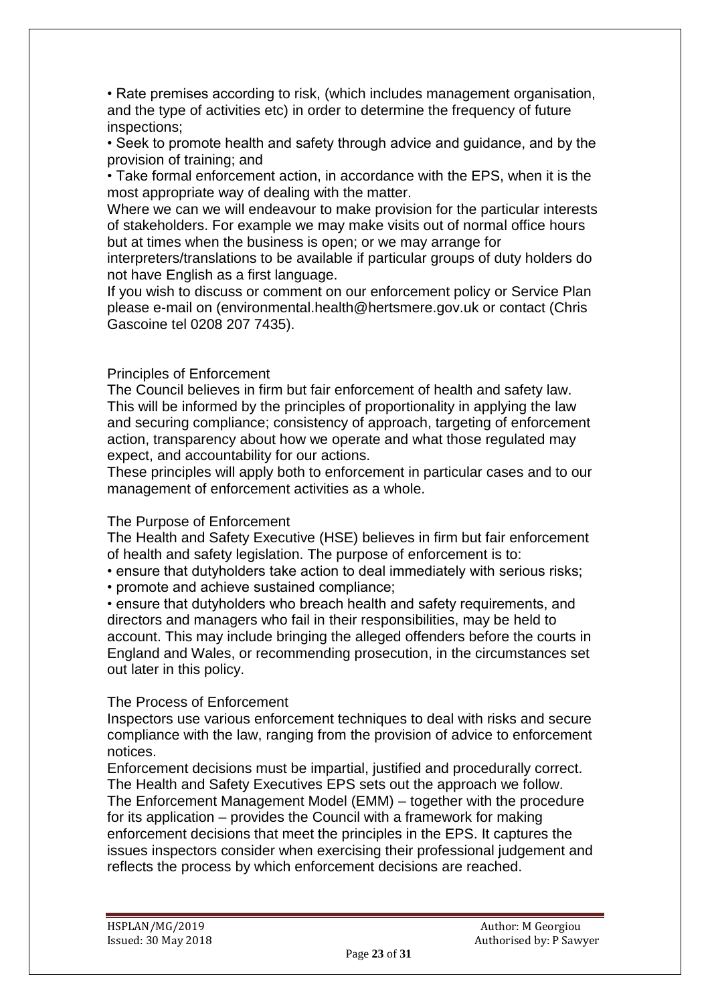• Rate premises according to risk, (which includes management organisation, and the type of activities etc) in order to determine the frequency of future inspections;

• Seek to promote health and safety through advice and guidance, and by the provision of training; and

• Take formal enforcement action, in accordance with the EPS, when it is the most appropriate way of dealing with the matter.

Where we can we will endeavour to make provision for the particular interests of stakeholders. For example we may make visits out of normal office hours but at times when the business is open; or we may arrange for

interpreters/translations to be available if particular groups of duty holders do not have English as a first language.

If you wish to discuss or comment on our enforcement policy or Service Plan please e-mail on (environmental.health@hertsmere.gov.uk or contact (Chris Gascoine tel 0208 207 7435).

#### Principles of Enforcement

The Council believes in firm but fair enforcement of health and safety law. This will be informed by the principles of proportionality in applying the law and securing compliance; consistency of approach, targeting of enforcement action, transparency about how we operate and what those regulated may expect, and accountability for our actions.

These principles will apply both to enforcement in particular cases and to our management of enforcement activities as a whole.

#### The Purpose of Enforcement

The Health and Safety Executive (HSE) believes in firm but fair enforcement of health and safety legislation. The purpose of enforcement is to:

- ensure that dutyholders take action to deal immediately with serious risks;
- promote and achieve sustained compliance;

• ensure that dutyholders who breach health and safety requirements, and directors and managers who fail in their responsibilities, may be held to account. This may include bringing the alleged offenders before the courts in England and Wales, or recommending prosecution, in the circumstances set out later in this policy.

#### The Process of Enforcement

Inspectors use various enforcement techniques to deal with risks and secure compliance with the law, ranging from the provision of advice to enforcement notices.

Enforcement decisions must be impartial, justified and procedurally correct. The Health and Safety Executives EPS sets out the approach we follow. The Enforcement Management Model (EMM) – together with the procedure for its application – provides the Council with a framework for making enforcement decisions that meet the principles in the EPS. It captures the issues inspectors consider when exercising their professional judgement and reflects the process by which enforcement decisions are reached.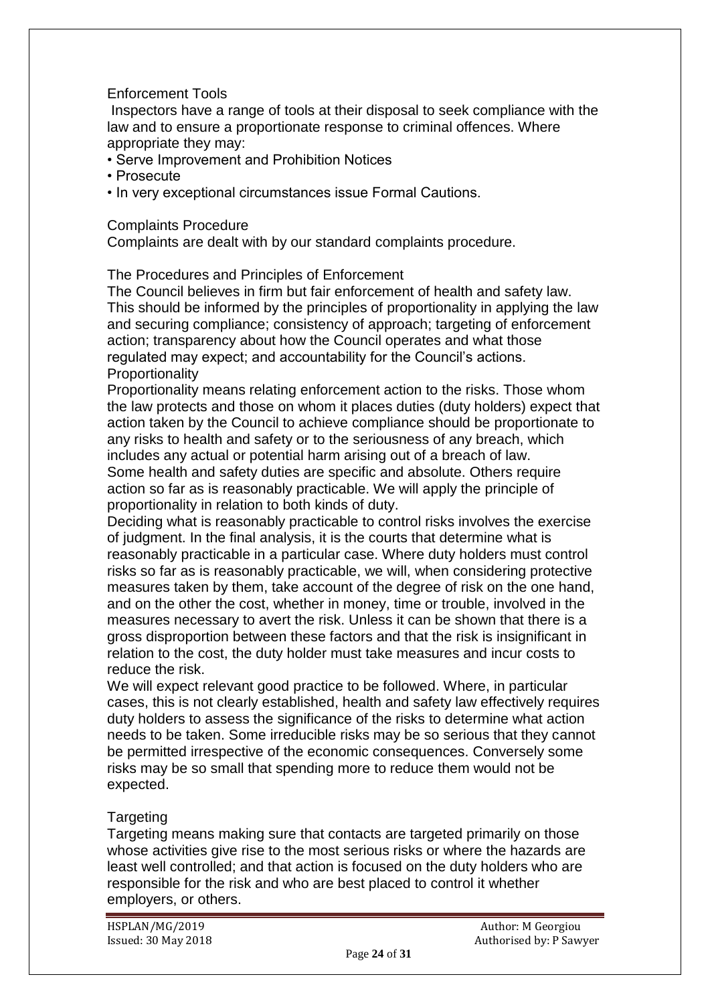# Enforcement Tools

Inspectors have a range of tools at their disposal to seek compliance with the law and to ensure a proportionate response to criminal offences. Where appropriate they may:

• Serve Improvement and Prohibition Notices

• Prosecute

• In very exceptional circumstances issue Formal Cautions.

## Complaints Procedure

Complaints are dealt with by our standard complaints procedure.

# The Procedures and Principles of Enforcement

The Council believes in firm but fair enforcement of health and safety law. This should be informed by the principles of proportionality in applying the law and securing compliance; consistency of approach; targeting of enforcement action; transparency about how the Council operates and what those regulated may expect; and accountability for the Council's actions. **Proportionality** 

Proportionality means relating enforcement action to the risks. Those whom the law protects and those on whom it places duties (duty holders) expect that action taken by the Council to achieve compliance should be proportionate to any risks to health and safety or to the seriousness of any breach, which includes any actual or potential harm arising out of a breach of law. Some health and safety duties are specific and absolute. Others require action so far as is reasonably practicable. We will apply the principle of proportionality in relation to both kinds of duty.

Deciding what is reasonably practicable to control risks involves the exercise of judgment. In the final analysis, it is the courts that determine what is reasonably practicable in a particular case. Where duty holders must control risks so far as is reasonably practicable, we will, when considering protective measures taken by them, take account of the degree of risk on the one hand, and on the other the cost, whether in money, time or trouble, involved in the measures necessary to avert the risk. Unless it can be shown that there is a gross disproportion between these factors and that the risk is insignificant in relation to the cost, the duty holder must take measures and incur costs to reduce the risk.

We will expect relevant good practice to be followed. Where, in particular cases, this is not clearly established, health and safety law effectively requires duty holders to assess the significance of the risks to determine what action needs to be taken. Some irreducible risks may be so serious that they cannot be permitted irrespective of the economic consequences. Conversely some risks may be so small that spending more to reduce them would not be expected.

# Targeting

Targeting means making sure that contacts are targeted primarily on those whose activities give rise to the most serious risks or where the hazards are least well controlled; and that action is focused on the duty holders who are responsible for the risk and who are best placed to control it whether employers, or others.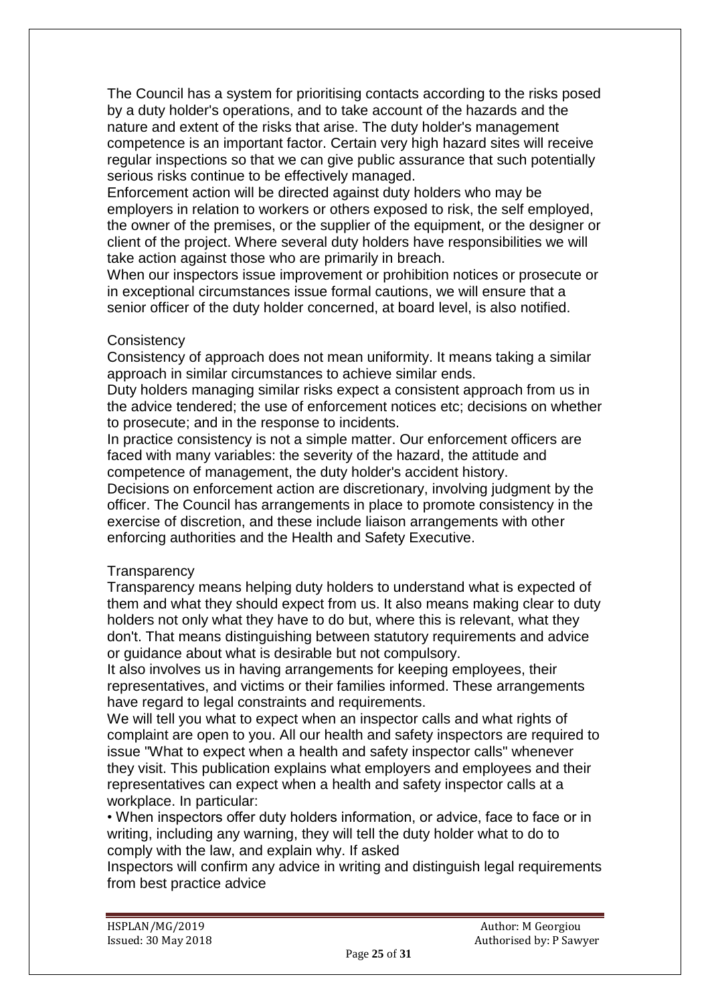The Council has a system for prioritising contacts according to the risks posed by a duty holder's operations, and to take account of the hazards and the nature and extent of the risks that arise. The duty holder's management competence is an important factor. Certain very high hazard sites will receive regular inspections so that we can give public assurance that such potentially serious risks continue to be effectively managed.

Enforcement action will be directed against duty holders who may be employers in relation to workers or others exposed to risk, the self employed, the owner of the premises, or the supplier of the equipment, or the designer or client of the project. Where several duty holders have responsibilities we will take action against those who are primarily in breach.

When our inspectors issue improvement or prohibition notices or prosecute or in exceptional circumstances issue formal cautions, we will ensure that a senior officer of the duty holder concerned, at board level, is also notified.

# **Consistency**

Consistency of approach does not mean uniformity. It means taking a similar approach in similar circumstances to achieve similar ends.

Duty holders managing similar risks expect a consistent approach from us in the advice tendered; the use of enforcement notices etc; decisions on whether to prosecute; and in the response to incidents.

In practice consistency is not a simple matter. Our enforcement officers are faced with many variables: the severity of the hazard, the attitude and competence of management, the duty holder's accident history.

Decisions on enforcement action are discretionary, involving judgment by the officer. The Council has arrangements in place to promote consistency in the exercise of discretion, and these include liaison arrangements with other enforcing authorities and the Health and Safety Executive.

# **Transparency**

Transparency means helping duty holders to understand what is expected of them and what they should expect from us. It also means making clear to duty holders not only what they have to do but, where this is relevant, what they don't. That means distinguishing between statutory requirements and advice or guidance about what is desirable but not compulsory.

It also involves us in having arrangements for keeping employees, their representatives, and victims or their families informed. These arrangements have regard to legal constraints and requirements.

We will tell you what to expect when an inspector calls and what rights of complaint are open to you. All our health and safety inspectors are required to issue "What to expect when a health and safety inspector calls" whenever they visit. This publication explains what employers and employees and their representatives can expect when a health and safety inspector calls at a workplace. In particular:

• When inspectors offer duty holders information, or advice, face to face or in writing, including any warning, they will tell the duty holder what to do to comply with the law, and explain why. If asked

Inspectors will confirm any advice in writing and distinguish legal requirements from best practice advice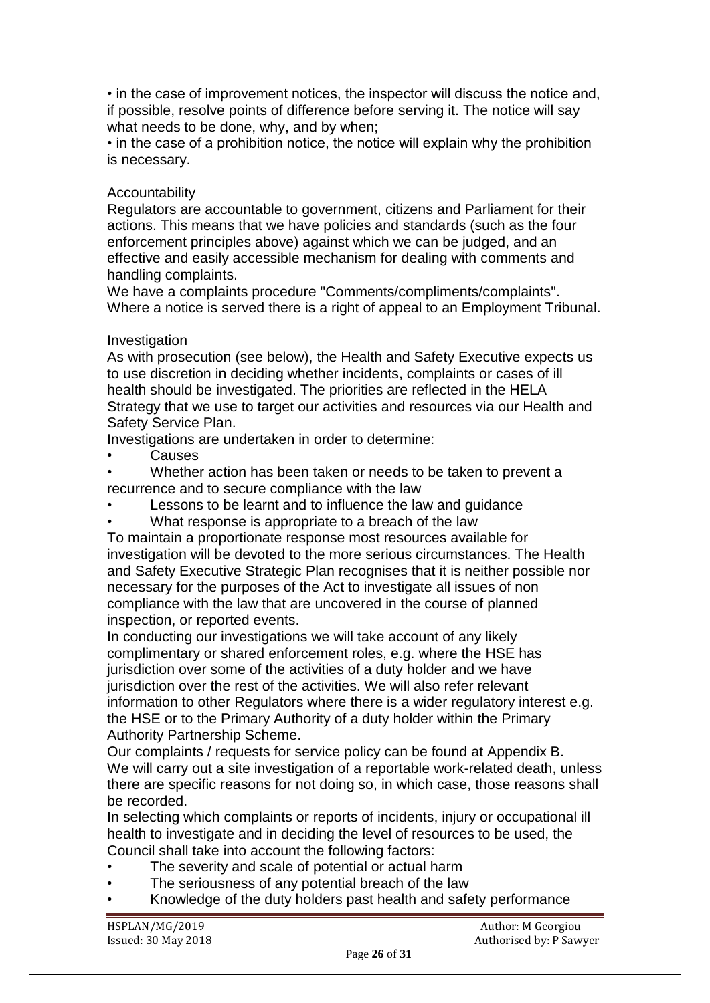• in the case of improvement notices, the inspector will discuss the notice and, if possible, resolve points of difference before serving it. The notice will say what needs to be done, why, and by when;

• in the case of a prohibition notice, the notice will explain why the prohibition is necessary.

# Accountability

Regulators are accountable to government, citizens and Parliament for their actions. This means that we have policies and standards (such as the four enforcement principles above) against which we can be judged, and an effective and easily accessible mechanism for dealing with comments and handling complaints.

We have a complaints procedure "Comments/compliments/complaints". Where a notice is served there is a right of appeal to an Employment Tribunal.

# Investigation

As with prosecution (see below), the Health and Safety Executive expects us to use discretion in deciding whether incidents, complaints or cases of ill health should be investigated. The priorities are reflected in the HELA Strategy that we use to target our activities and resources via our Health and Safety Service Plan.

Investigations are undertaken in order to determine:

**Causes** 

• Whether action has been taken or needs to be taken to prevent a recurrence and to secure compliance with the law

- Lessons to be learnt and to influence the law and guidance
- What response is appropriate to a breach of the law

To maintain a proportionate response most resources available for investigation will be devoted to the more serious circumstances. The Health and Safety Executive Strategic Plan recognises that it is neither possible nor necessary for the purposes of the Act to investigate all issues of non compliance with the law that are uncovered in the course of planned inspection, or reported events.

In conducting our investigations we will take account of any likely complimentary or shared enforcement roles, e.g. where the HSE has jurisdiction over some of the activities of a duty holder and we have jurisdiction over the rest of the activities. We will also refer relevant information to other Regulators where there is a wider regulatory interest e.g. the HSE or to the Primary Authority of a duty holder within the Primary Authority Partnership Scheme.

Our complaints / requests for service policy can be found at Appendix B. We will carry out a site investigation of a reportable work-related death, unless there are specific reasons for not doing so, in which case, those reasons shall be recorded.

In selecting which complaints or reports of incidents, injury or occupational ill health to investigate and in deciding the level of resources to be used, the Council shall take into account the following factors:

- The severity and scale of potential or actual harm
- The seriousness of any potential breach of the law
- Knowledge of the duty holders past health and safety performance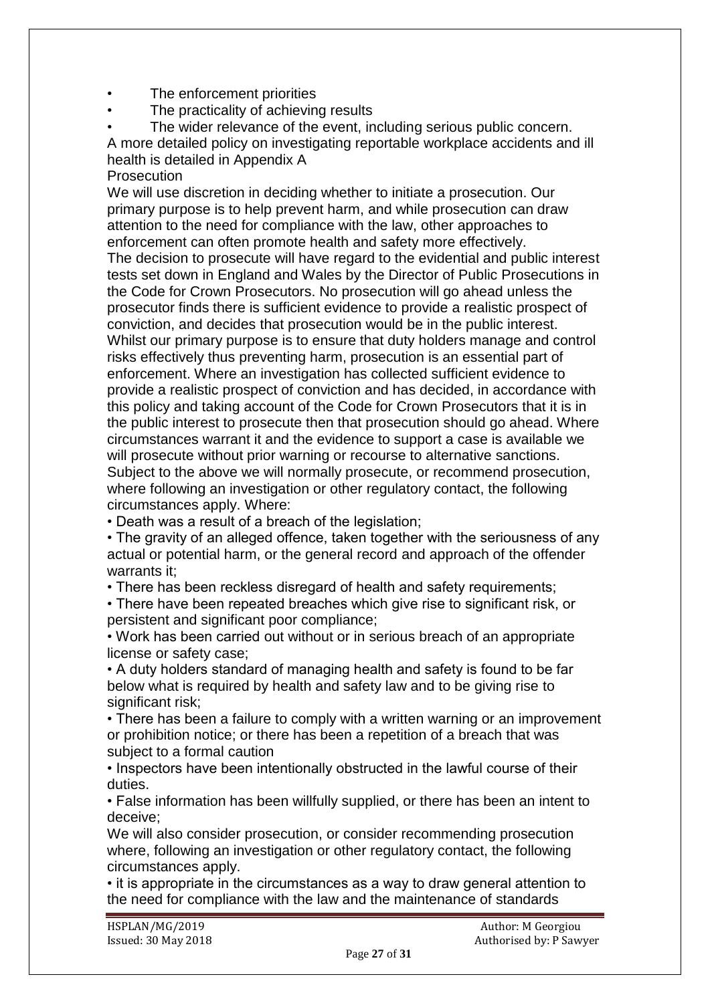- The enforcement priorities
- The practicality of achieving results
- The wider relevance of the event, including serious public concern. A more detailed policy on investigating reportable workplace accidents and ill health is detailed in Appendix A
- Prosecution

We will use discretion in deciding whether to initiate a prosecution. Our primary purpose is to help prevent harm, and while prosecution can draw attention to the need for compliance with the law, other approaches to enforcement can often promote health and safety more effectively. The decision to prosecute will have regard to the evidential and public interest tests set down in England and Wales by the Director of Public Prosecutions in the Code for Crown Prosecutors. No prosecution will go ahead unless the prosecutor finds there is sufficient evidence to provide a realistic prospect of conviction, and decides that prosecution would be in the public interest. Whilst our primary purpose is to ensure that duty holders manage and control risks effectively thus preventing harm, prosecution is an essential part of enforcement. Where an investigation has collected sufficient evidence to provide a realistic prospect of conviction and has decided, in accordance with this policy and taking account of the Code for Crown Prosecutors that it is in the public interest to prosecute then that prosecution should go ahead. Where circumstances warrant it and the evidence to support a case is available we will prosecute without prior warning or recourse to alternative sanctions. Subject to the above we will normally prosecute, or recommend prosecution, where following an investigation or other regulatory contact, the following

circumstances apply. Where:

• Death was a result of a breach of the legislation;

• The gravity of an alleged offence, taken together with the seriousness of any actual or potential harm, or the general record and approach of the offender warrants it;

• There has been reckless disregard of health and safety requirements;

• There have been repeated breaches which give rise to significant risk, or persistent and significant poor compliance;

• Work has been carried out without or in serious breach of an appropriate license or safety case;

• A duty holders standard of managing health and safety is found to be far below what is required by health and safety law and to be giving rise to significant risk:

• There has been a failure to comply with a written warning or an improvement or prohibition notice; or there has been a repetition of a breach that was subject to a formal caution

• Inspectors have been intentionally obstructed in the lawful course of their duties.

• False information has been willfully supplied, or there has been an intent to deceive;

We will also consider prosecution, or consider recommending prosecution where, following an investigation or other regulatory contact, the following circumstances apply.

• it is appropriate in the circumstances as a way to draw general attention to the need for compliance with the law and the maintenance of standards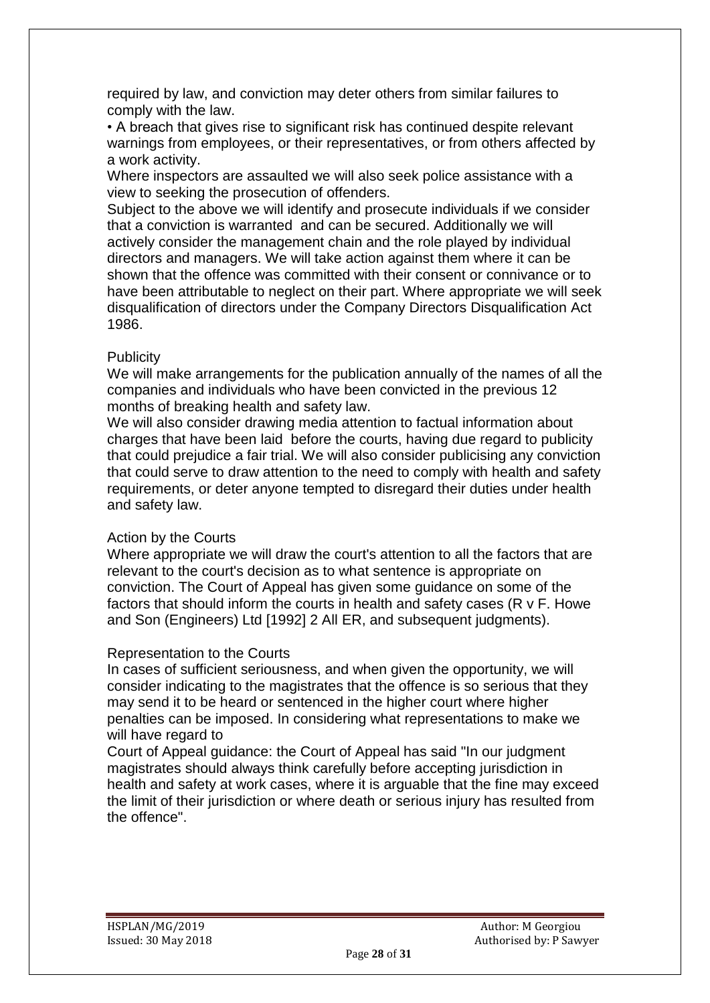required by law, and conviction may deter others from similar failures to comply with the law.

• A breach that gives rise to significant risk has continued despite relevant warnings from employees, or their representatives, or from others affected by a work activity.

Where inspectors are assaulted we will also seek police assistance with a view to seeking the prosecution of offenders.

Subject to the above we will identify and prosecute individuals if we consider that a conviction is warranted and can be secured. Additionally we will actively consider the management chain and the role played by individual directors and managers. We will take action against them where it can be shown that the offence was committed with their consent or connivance or to have been attributable to neglect on their part. Where appropriate we will seek disqualification of directors under the Company Directors Disqualification Act 1986.

#### **Publicity**

We will make arrangements for the publication annually of the names of all the companies and individuals who have been convicted in the previous 12 months of breaking health and safety law.

We will also consider drawing media attention to factual information about charges that have been laid before the courts, having due regard to publicity that could prejudice a fair trial. We will also consider publicising any conviction that could serve to draw attention to the need to comply with health and safety requirements, or deter anyone tempted to disregard their duties under health and safety law.

# Action by the Courts

Where appropriate we will draw the court's attention to all the factors that are relevant to the court's decision as to what sentence is appropriate on conviction. The Court of Appeal has given some guidance on some of the factors that should inform the courts in health and safety cases (R v F. Howe and Son (Engineers) Ltd [1992] 2 All ER, and subsequent judgments).

#### Representation to the Courts

In cases of sufficient seriousness, and when given the opportunity, we will consider indicating to the magistrates that the offence is so serious that they may send it to be heard or sentenced in the higher court where higher penalties can be imposed. In considering what representations to make we will have regard to

Court of Appeal guidance: the Court of Appeal has said "In our judgment magistrates should always think carefully before accepting jurisdiction in health and safety at work cases, where it is arguable that the fine may exceed the limit of their jurisdiction or where death or serious injury has resulted from the offence".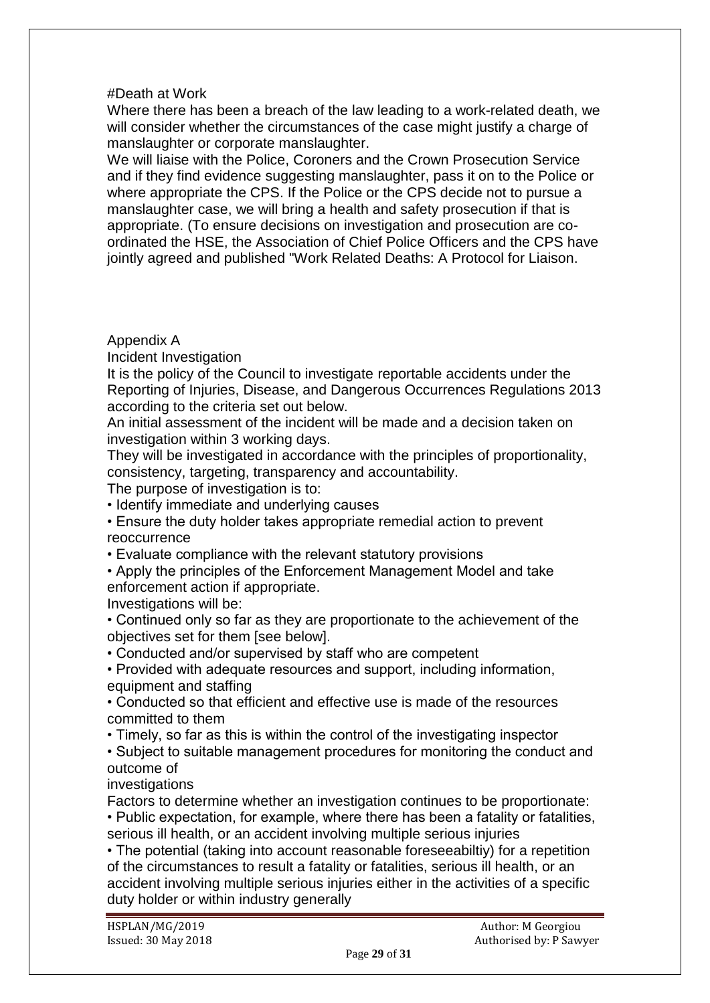# #Death at Work

Where there has been a breach of the law leading to a work-related death, we will consider whether the circumstances of the case might justify a charge of manslaughter or corporate manslaughter.

We will liaise with the Police, Coroners and the Crown Prosecution Service and if they find evidence suggesting manslaughter, pass it on to the Police or where appropriate the CPS. If the Police or the CPS decide not to pursue a manslaughter case, we will bring a health and safety prosecution if that is appropriate. (To ensure decisions on investigation and prosecution are coordinated the HSE, the Association of Chief Police Officers and the CPS have jointly agreed and published "Work Related Deaths: A Protocol for Liaison.

# Appendix A

Incident Investigation

It is the policy of the Council to investigate reportable accidents under the Reporting of Injuries, Disease, and Dangerous Occurrences Regulations 2013 according to the criteria set out below.

An initial assessment of the incident will be made and a decision taken on investigation within 3 working days.

They will be investigated in accordance with the principles of proportionality, consistency, targeting, transparency and accountability.

The purpose of investigation is to:

• Identify immediate and underlying causes

• Ensure the duty holder takes appropriate remedial action to prevent reoccurrence

• Evaluate compliance with the relevant statutory provisions

• Apply the principles of the Enforcement Management Model and take enforcement action if appropriate.

Investigations will be:

• Continued only so far as they are proportionate to the achievement of the objectives set for them [see below].

• Conducted and/or supervised by staff who are competent

• Provided with adequate resources and support, including information, equipment and staffing

• Conducted so that efficient and effective use is made of the resources committed to them

• Timely, so far as this is within the control of the investigating inspector

• Subject to suitable management procedures for monitoring the conduct and outcome of

investigations

Factors to determine whether an investigation continues to be proportionate:

• Public expectation, for example, where there has been a fatality or fatalities, serious ill health, or an accident involving multiple serious injuries

• The potential (taking into account reasonable foreseeabiltiy) for a repetition of the circumstances to result a fatality or fatalities, serious ill health, or an accident involving multiple serious injuries either in the activities of a specific duty holder or within industry generally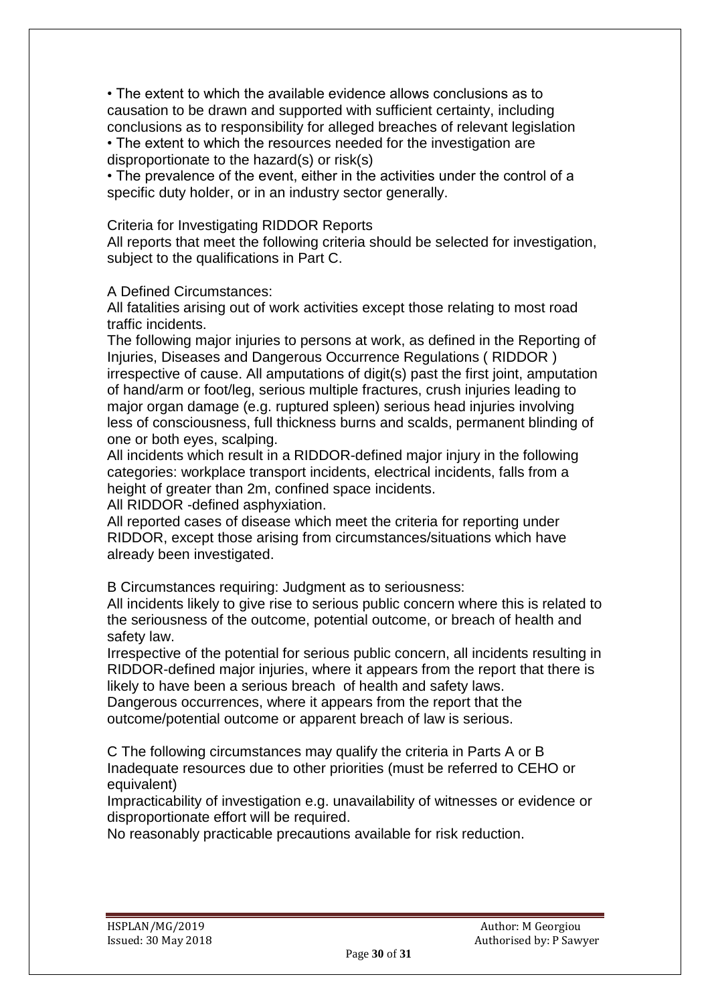• The extent to which the available evidence allows conclusions as to causation to be drawn and supported with sufficient certainty, including conclusions as to responsibility for alleged breaches of relevant legislation

• The extent to which the resources needed for the investigation are disproportionate to the hazard(s) or risk(s)

• The prevalence of the event, either in the activities under the control of a specific duty holder, or in an industry sector generally.

Criteria for Investigating RIDDOR Reports

All reports that meet the following criteria should be selected for investigation, subject to the qualifications in Part C.

# A Defined Circumstances:

All fatalities arising out of work activities except those relating to most road traffic incidents.

The following major injuries to persons at work, as defined in the Reporting of Injuries, Diseases and Dangerous Occurrence Regulations ( RIDDOR ) irrespective of cause. All amputations of digit(s) past the first joint, amputation of hand/arm or foot/leg, serious multiple fractures, crush injuries leading to major organ damage (e.g. ruptured spleen) serious head injuries involving less of consciousness, full thickness burns and scalds, permanent blinding of one or both eyes, scalping.

All incidents which result in a RIDDOR-defined major injury in the following categories: workplace transport incidents, electrical incidents, falls from a height of greater than 2m, confined space incidents.

All RIDDOR -defined asphyxiation.

All reported cases of disease which meet the criteria for reporting under RIDDOR, except those arising from circumstances/situations which have already been investigated.

B Circumstances requiring: Judgment as to seriousness:

All incidents likely to give rise to serious public concern where this is related to the seriousness of the outcome, potential outcome, or breach of health and safety law.

Irrespective of the potential for serious public concern, all incidents resulting in RIDDOR-defined major injuries, where it appears from the report that there is likely to have been a serious breach of health and safety laws.

Dangerous occurrences, where it appears from the report that the outcome/potential outcome or apparent breach of law is serious.

C The following circumstances may qualify the criteria in Parts A or B Inadequate resources due to other priorities (must be referred to CEHO or equivalent)

Impracticability of investigation e.g. unavailability of witnesses or evidence or disproportionate effort will be required.

No reasonably practicable precautions available for risk reduction.